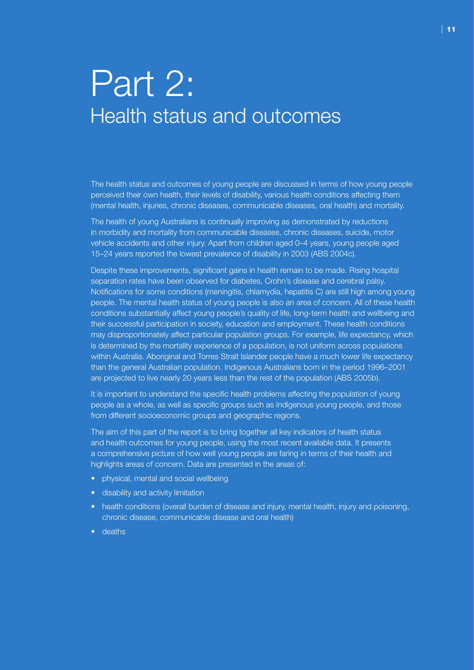# Part 2: Health status and outcomes

The health status and outcomes of young people are discussed in terms of how young people perceived their own health, their levels of disability, various health conditions affecting them (mental health, injuries, chronic diseases, communicable diseases, oral health) and mortality.

The health of young Australians is continually improving as demonstrated by reductions in morbidity and mortality from communicable diseases, chronic diseases, suicide, motor vehicle accidents and other injury. Apart from children aged 0–4 years, young people aged 15–24 years reported the lowest prevalence of disability in 2003 (ABS 2004c).

Despite these improvements, significant gains in health remain to be made. Rising hospital separation rates have been observed for diabetes, Crohn's disease and cerebral palsy. Notifications for some conditions (meningitis, chlamydia, hepatitis C) are still high among young people. The mental health status of young people is also an area of concern. All of these health conditions substantially affect young people's quality of life, long-term health and wellbeing and their successful participation in society, education and employment. These health conditions may disproportionately affect particular population groups. For example, life expectancy, which is determined by the mortality experience of a population, is not uniform across populations within Australia. Aboriginal and Torres Strait Islander people have a much lower life expectancy than the general Australian population. Indigenous Australians born in the period 1996–2001 are projected to live nearly 20 years less than the rest of the population (ABS 2005b).

It is important to understand the specific health problems affecting the population of young people as a whole, as well as specific groups such as Indigenous young people, and those from different socioeconomic groups and geographic regions.

The aim of this part of the report is to bring together all key indicators of health status and health outcomes for young people, using the most recent available data. It presents a comprehensive picture of how well young people are faring in terms of their health and highlights areas of concern. Data are presented in the areas of:

- physical, mental and social wellbeing
- disability and activity limitation
- health conditions (overall burden of disease and injury, mental health, injury and poisoning, chronic disease, communicable disease and oral health)
- deaths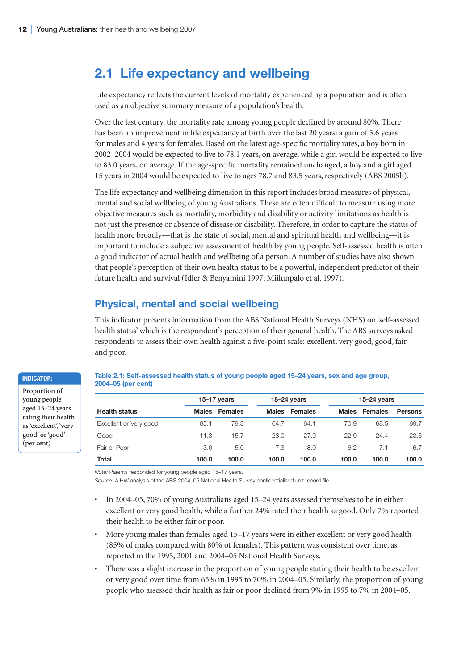# **2.1 Life expectancy and wellbeing**

Life expectancy reflects the current levels of mortality experienced by a population and is often used as an objective summary measure of a population's health.

Over the last century, the mortality rate among young people declined by around 80%. There has been an improvement in life expectancy at birth over the last 20 years: a gain of 5.6 years for males and 4 years for females. Based on the latest age-specific mortality rates, a boy born in 2002–2004 would be expected to live to 78.1 years, on average, while a girl would be expected to live to 83.0 years, on average. If the age-specific mortality remained unchanged, a boy and a girl aged 15 years in 2004 would be expected to live to ages 78.7 and 83.5 years, respectively (ABS 2005b).

The life expectancy and wellbeing dimension in this report includes broad measures of physical, mental and social wellbeing of young Australians. These are often difficult to measure using more objective measures such as mortality, morbidity and disability or activity limitations as health is not just the presence or absence of disease or disability. Therefore, in order to capture the status of health more broadly—that is the state of social, mental and spiritual health and wellbeing—it is important to include a subjective assessment of health by young people. Self-assessed health is often a good indicator of actual health and wellbeing of a person. A number of studies have also shown that people's perception of their own health status to be a powerful, independent predictor of their future health and survival (Idler & Benyamini 1997; Miilunpalo et al. 1997).

# **Physical, mental and social wellbeing**

This indicator presents information from the ABS National Health Surveys (NHS) on 'self-assessed health status' which is the respondent's perception of their general health. The ABS surveys asked respondents to assess their own health against a five-point scale: excellent, very good, good, fair and poor.

#### **Indicator:**

**Proportion of young people aged 15–24 years rating their health as 'excellent', 'very good' or 'good' (per cent)**

#### **Table 2.1: Self-assessed health status of young people aged 15–24 years, sex and age group, 2004–05 (per cent)**

|                        |              | $15-17$ years |              | 18-24 years    |              | $15-24$ years |                |  |
|------------------------|--------------|---------------|--------------|----------------|--------------|---------------|----------------|--|
| <b>Health status</b>   | <b>Males</b> | Females       | <b>Males</b> | <b>Females</b> | <b>Males</b> | Females       | <b>Persons</b> |  |
| Excellent or Very good | 85.1         | 79.3          | 64.7         | 64.1           | 70.9         | 68.5          | 69.7           |  |
| Good                   | 11.3         | 15.7          | 28.0         | 27.9           | 22.9         | 24.4          | 23.6           |  |
| Fair or Poor           | 3.6          | 5.0           | 7.3          | 8.0            | 6.2          | 7.1           | 6.7            |  |
| Total                  | 100.0        | 100.0         | 100.0        | 100.0          | 100.0        | 100.0         | 100.0          |  |

*Note:* Parents responded for young people aged 15–17 years.

*Source:* AIHW analysis of the ABS 2004–05 National Health Survey confidentialised unit record file.

- In 2004–05, 70% of young Australians aged 15–24 years assessed themselves to be in either excellent or very good health, while a further 24% rated their health as good. Only 7% reported their health to be either fair or poor.
- More young males than females aged 15–17 years were in either excellent or very good health (85% of males compared with 80% of females). This pattern was consistent over time, as reported in the 1995, 2001 and 2004–05 National Health Surveys.
- There was a slight increase in the proportion of young people stating their health to be excellent or very good over time from 65% in 1995 to 70% in 2004–05. Similarly, the proportion of young people who assessed their health as fair or poor declined from 9% in 1995 to 7% in 2004–05.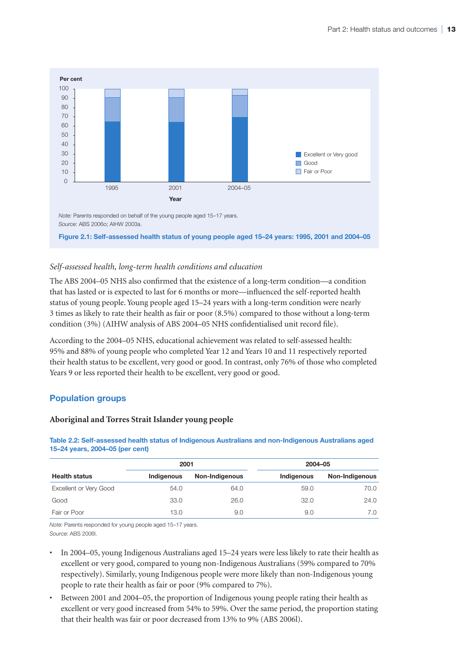

# *Self-assessed health, long-term health conditions and education*

The ABS 2004–05 NHS also confirmed that the existence of a long-term condition—a condition that has lasted or is expected to last for 6 months or more—influenced the self-reported health status of young people. Young people aged 15–24 years with a long-term condition were nearly 3 times as likely to rate their health as fair or poor (8.5%) compared to those without a long-term condition (3%) (AIHW analysis of ABS 2004–05 NHS confidentialised unit record file).

According to the 2004–05 NHS, educational achievement was related to self-assessed health: 95% and 88% of young people who completed Year 12 and Years 10 and 11 respectively reported their health status to be excellent, very good or good. In contrast, only 76% of those who completed Years 9 or less reported their health to be excellent, very good or good.

# **Population groups**

#### **Aboriginal and Torres Strait Islander young people**

| 15–24 years, 2004–05 (per cent) |            |                |            |                |  |  |  |  |  |  |
|---------------------------------|------------|----------------|------------|----------------|--|--|--|--|--|--|
|                                 | 2001       |                | 2004-05    |                |  |  |  |  |  |  |
| <b>Health status</b>            | Indigenous | Non-Indigenous | Indigenous | Non-Indigenous |  |  |  |  |  |  |
| Excellent or Very Good          | 54.0       | 64.0           | 59.0       | 70.0           |  |  |  |  |  |  |

Good 33.0 26.0 32.0 24.0 Fair or Poor 13.0 9.0 9.0 7.0

**Table 2.2: Self-assessed health status of Indigenous Australians and non-Indigenous Australians aged 15–24 years, 2004–05 (per cent)**

*Note:* Parents responded for young people aged 15–17 years. *Source:* ABS 2006l.

- In 2004–05, young Indigenous Australians aged 15–24 years were less likely to rate their health as excellent or very good, compared to young non-Indigenous Australians (59% compared to 70% respectively). Similarly, young Indigenous people were more likely than non-Indigenous young people to rate their health as fair or poor (9% compared to 7%).
- Between 2001 and 2004–05, the proportion of Indigenous young people rating their health as excellent or very good increased from 54% to 59%. Over the same period, the proportion stating that their health was fair or poor decreased from 13% to 9% (ABS 2006l).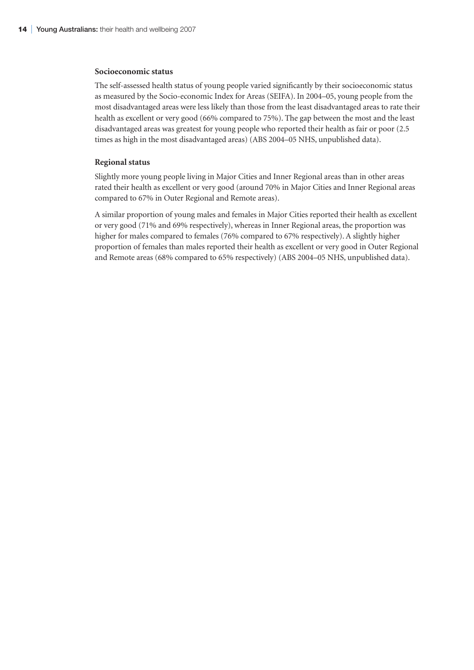#### **Socioeconomic status**

The self-assessed health status of young people varied significantly by their socioeconomic status as measured by the Socio-economic Index for Areas (SEIFA). In 2004–05, young people from the most disadvantaged areas were less likely than those from the least disadvantaged areas to rate their health as excellent or very good (66% compared to 75%). The gap between the most and the least disadvantaged areas was greatest for young people who reported their health as fair or poor (2.5 times as high in the most disadvantaged areas) (ABS 2004–05 NHS, unpublished data).

#### **Regional status**

Slightly more young people living in Major Cities and Inner Regional areas than in other areas rated their health as excellent or very good (around 70% in Major Cities and Inner Regional areas compared to 67% in Outer Regional and Remote areas).

A similar proportion of young males and females in Major Cities reported their health as excellent or very good (71% and 69% respectively), whereas in Inner Regional areas, the proportion was higher for males compared to females (76% compared to 67% respectively). A slightly higher proportion of females than males reported their health as excellent or very good in Outer Regional and Remote areas (68% compared to 65% respectively) (ABS 2004–05 NHS, unpublished data).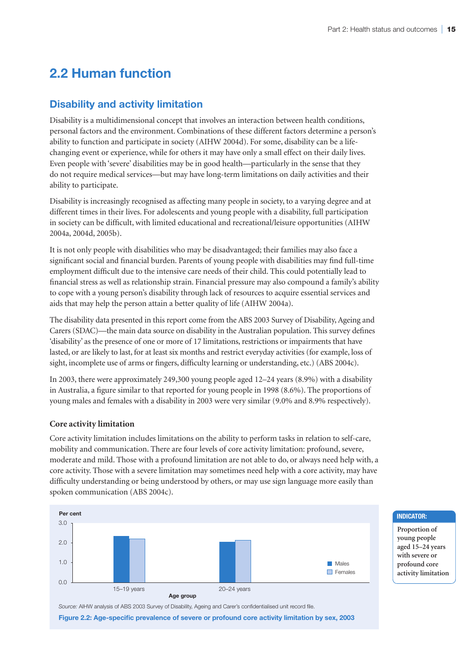# **2.2 Human function**

# **Disability and activity limitation**

Disability is a multidimensional concept that involves an interaction between health conditions, personal factors and the environment. Combinations of these different factors determine a person's ability to function and participate in society (AIHW 2004d). For some, disability can be a lifechanging event or experience, while for others it may have only a small effect on their daily lives. Even people with 'severe' disabilities may be in good health—particularly in the sense that they do not require medical services—but may have long-term limitations on daily activities and their ability to participate.

Disability is increasingly recognised as affecting many people in society, to a varying degree and at different times in their lives. For adolescents and young people with a disability, full participation in society can be difficult, with limited educational and recreational/leisure opportunities (AIHW 2004a, 2004d, 2005b).

It is not only people with disabilities who may be disadvantaged; their families may also face a significant social and financial burden. Parents of young people with disabilities may find full-time employment difficult due to the intensive care needs of their child. This could potentially lead to financial stress as well as relationship strain. Financial pressure may also compound a family's ability to cope with a young person's disability through lack of resources to acquire essential services and aids that may help the person attain a better quality of life (AIHW 2004a).

The disability data presented in this report come from the ABS 2003 Survey of Disability, Ageing and Carers (SDAC)—the main data source on disability in the Australian population. This survey defines 'disability' as the presence of one or more of 17 limitations, restrictions or impairments that have lasted, or are likely to last, for at least six months and restrict everyday activities (for example, loss of sight, incomplete use of arms or fingers, difficulty learning or understanding, etc.) (ABS 2004c).

In 2003, there were approximately 249,300 young people aged 12–24 years (8.9%) with a disability in Australia, a figure similar to that reported for young people in 1998 (8.6%). The proportions of young males and females with a disability in 2003 were very similar (9.0% and 8.9% respectively).

#### **Core activity limitation**

Core activity limitation includes limitations on the ability to perform tasks in relation to self-care, mobility and communication. There are four levels of core activity limitation: profound, severe, moderate and mild. Those with a profound limitation are not able to do, or always need help with, a core activity. Those with a severe limitation may sometimes need help with a core activity, may have difficulty understanding or being understood by others, or may use sign language more easily than spoken communication (ABS 2004c).



*Source:* AIHW analysis of ABS 2003 Survey of Disability, Ageing and Carer's confidentialised unit record file.

**Figure 2.2: Age-specific prevalence of severe or profound core activity limitation by sex, 2003**

#### **Indicator:**

**Proportion of young people aged 15–24 years with severe or profound core activity limitation**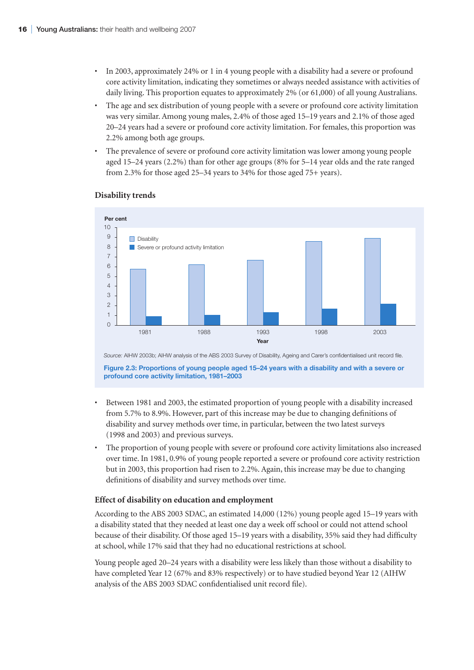- In 2003, approximately 24% or 1 in 4 young people with a disability had a severe or profound core activity limitation, indicating they sometimes or always needed assistance with activities of daily living. This proportion equates to approximately 2% (or 61,000) of all young Australians.
- The age and sex distribution of young people with a severe or profound core activity limitation was very similar. Among young males, 2.4% of those aged 15–19 years and 2.1% of those aged 20–24 years had a severe or profound core activity limitation. For females, this proportion was 2.2% among both age groups.
- The prevalence of severe or profound core activity limitation was lower among young people aged 15–24 years (2.2%) than for other age groups (8% for 5–14 year olds and the rate ranged from 2.3% for those aged 25–34 years to 34% for those aged 75+ years).



#### **Disability trends**

*Source:* AIHW 2003b; AIHW analysis of the ABS 2003 Survey of Disability, Ageing and Carer's confidentialised unit record file.

**Figure 2.3: Proportions of young people aged 15–24 years with a disability and with a severe or profound core activity limitation, 1981–2003**

- Between 1981 and 2003, the estimated proportion of young people with a disability increased from 5.7% to 8.9%. However, part of this increase may be due to changing definitions of disability and survey methods over time, in particular, between the two latest surveys (1998 and 2003) and previous surveys.
- The proportion of young people with severe or profound core activity limitations also increased over time. In 1981, 0.9% of young people reported a severe or profound core activity restriction but in 2003, this proportion had risen to 2.2%. Again, this increase may be due to changing definitions of disability and survey methods over time.

#### **Effect of disability on education and employment**

According to the ABS 2003 SDAC, an estimated 14,000 (12%) young people aged 15–19 years with a disability stated that they needed at least one day a week off school or could not attend school because of their disability. Of those aged 15–19 years with a disability, 35% said they had difficulty at school, while 17% said that they had no educational restrictions at school.

Young people aged 20–24 years with a disability were less likely than those without a disability to have completed Year 12 (67% and 83% respectively) or to have studied beyond Year 12 (AIHW analysis of the ABS 2003 SDAC confidentialised unit record file).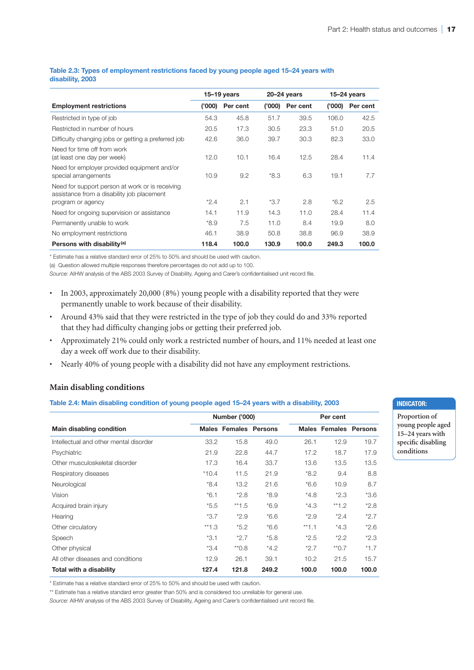#### **Table 2.3: Types of employment restrictions faced by young people aged 15–24 years with disability, 2003**

|                                                                                               |        | 15–19 years |        | $20 - 24$ years |        | $15-24$ years |  |
|-----------------------------------------------------------------------------------------------|--------|-------------|--------|-----------------|--------|---------------|--|
| <b>Employment restrictions</b>                                                                | (000)' | Per cent    | (000)' | Per cent        | (000)  | Per cent      |  |
| Restricted in type of job                                                                     | 54.3   | 45.8        | 51.7   | 39.5            | 106.0  | 42.5          |  |
| Restricted in number of hours                                                                 | 20.5   | 17.3        | 30.5   | 23.3            | 51.0   | 20.5          |  |
| Difficulty changing jobs or getting a preferred job                                           | 42.6   | 36.0        | 39.7   | 30.3            | 82.3   | 33.0          |  |
| Need for time off from work<br>(at least one day per week)                                    | 12.0   | 10.1        | 16.4   | 12.5            | 28.4   | 11.4          |  |
| Need for employer provided equipment and/or<br>special arrangements                           | 10.9   | 9.2         | $*8.3$ | 6.3             | 19.1   | 7.7           |  |
| Need for support person at work or is receiving<br>assistance from a disability job placement | $*2.4$ |             | $*3.7$ |                 |        |               |  |
| program or agency                                                                             |        | 2.1         |        | 2.8             | $*6.2$ | 2.5           |  |
| Need for ongoing supervision or assistance                                                    | 14.1   | 11.9        | 14.3   | 11.0            | 28.4   | 11.4          |  |
| Permanently unable to work                                                                    | $*8.9$ | 7.5         | 11.0   | 8.4             | 19.9   | 8.0           |  |
| No employment restrictions                                                                    | 46.1   | 38.9        | 50.8   | 38.8            | 96.9   | 38.9          |  |
| Persons with disability <sup>(a)</sup>                                                        | 118.4  | 100.0       | 130.9  | 100.0           | 249.3  | 100.0         |  |

\* Estimate has a relative standard error of 25% to 50% and should be used with caution.

(a) Question allowed multiple responses therefore percentages do not add up to 100.

*Source:* AIHW analysis of the ABS 2003 Survey of Disability, Ageing and Carer's confidentialised unit record file.

- In 2003, approximately 20,000 (8%) young people with a disability reported that they were permanently unable to work because of their disability.
- Around 43% said that they were restricted in the type of job they could do and 33% reported that they had difficulty changing jobs or getting their preferred job.
- Approximately 21% could only work a restricted number of hours, and 11% needed at least one day a week off work due to their disability.
- Nearly 40% of young people with a disability did not have any employment restrictions.

#### **Main disabling conditions**

#### **Table 2.4: Main disabling condition of young people aged 15–24 years with a disability, 2003**

|                                        |         | <b>Number ('000)</b>         |        |         | Per cent                     |        |
|----------------------------------------|---------|------------------------------|--------|---------|------------------------------|--------|
| Main disabling condition               |         | <b>Males Females Persons</b> |        |         | <b>Males Females Persons</b> |        |
| Intellectual and other mental disorder | 33.2    | 15.8                         | 49.0   | 26.1    | 12.9                         | 19.7   |
| Psychiatric                            | 21.9    | 22.8                         | 44.7   | 17.2    | 18.7                         | 17.9   |
| Other musculoskeletal disorder         | 17.3    | 16.4                         | 33.7   | 13.6    | 13.5                         | 13.5   |
| Respiratory diseases                   | $*10.4$ | 11.5                         | 21.9   | $*8.2$  | 9.4                          | 8.8    |
| Neurological                           | $*8.4$  | 13.2                         | 21.6   | $*6.6$  | 10.9                         | 8.7    |
| Vision                                 | $*6.1$  | $*2.8$                       | *8.9   | $*4.8$  | $*2.3$                       | $*3.6$ |
| Acquired brain injury                  | $*5.5$  | $**1.5$                      | $*6.9$ | $*4.3$  | $*1.2$                       | $*2.8$ |
| Hearing                                | $*3.7$  | $*2.9$                       | $*6.6$ | $*2.9$  | $*2.4$                       | $*2.7$ |
| Other circulatory                      | $*1.3$  | $*5.2$                       | $*6.6$ | $**1.1$ | $*4.3$                       | $*2.6$ |
| Speech                                 | $*3.1$  | $*2.7$                       | $*5.8$ | $*2.5$  | $*2.2$                       | $*2.3$ |
| Other physical                         | $*3.4$  | $*0.8$                       | $*4.2$ | $*2.7$  | $*$ 0.7                      | $*1.7$ |
| All other diseases and conditions      | 12.9    | 26.1                         | 39.1   | 10.2    | 21.5                         | 15.7   |
| Total with a disability                | 127.4   | 121.8                        | 249.2  | 100.0   | 100.0                        | 100.0  |

\* Estimate has a relative standard error of 25% to 50% and should be used with caution.

\*\* Estimate has a relative standard error greater than 50% and is considered too unreliable for general use.

*Source:* AIHW analysis of the ABS 2003 Survey of Disability, Ageing and Carer's confidentialised unit record file.

#### **Indicator:**

**Proportion of young people aged 15–24 years with specific disabling conditions**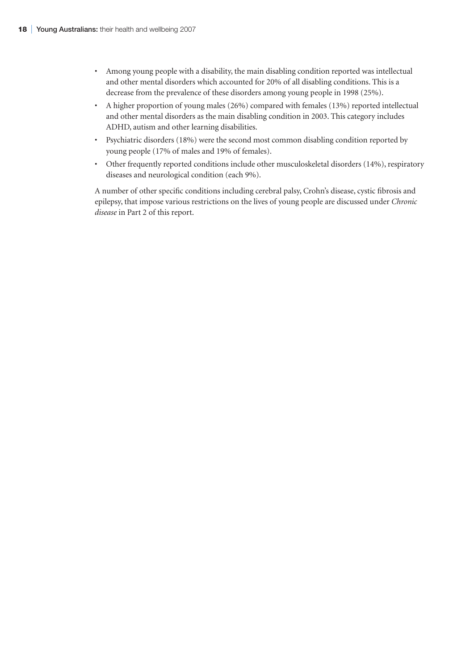- Among young people with a disability, the main disabling condition reported was intellectual and other mental disorders which accounted for 20% of all disabling conditions. This is a decrease from the prevalence of these disorders among young people in 1998 (25%).
- A higher proportion of young males (26%) compared with females (13%) reported intellectual and other mental disorders as the main disabling condition in 2003. This category includes ADHD, autism and other learning disabilities.
- Psychiatric disorders (18%) were the second most common disabling condition reported by young people (17% of males and 19% of females).
- Other frequently reported conditions include other musculoskeletal disorders (14%), respiratory diseases and neurological condition (each 9%).

A number of other specific conditions including cerebral palsy, Crohn's disease, cystic fibrosis and epilepsy, that impose various restrictions on the lives of young people are discussed under *Chronic disease* in Part 2 of this report.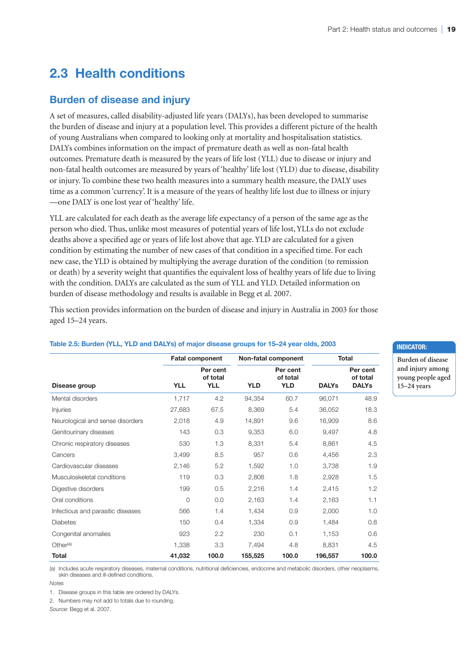**Indicator:**

**Burden of disease and injury among young people aged 15–24 years**

# **2.3 Health conditions**

# **Burden of disease and injury**

A set of measures, called disability-adjusted life years (DALYs), has been developed to summarise the burden of disease and injury at a population level. This provides a different picture of the health of young Australians when compared to looking only at mortality and hospitalisation statistics. DALYs combines information on the impact of premature death as well as non-fatal health outcomes. Premature death is measured by the years of life lost (YLL) due to disease or injury and non-fatal health outcomes are measured by years of 'healthy' life lost (YLD) due to disease, disability or injury. To combine these two health measures into a summary health measure, the DALY uses time as a common 'currency'. It is a measure of the years of healthy life lost due to illness or injury —one DALY is one lost year of 'healthy' life.

YLL are calculated for each death as the average life expectancy of a person of the same age as the person who died. Thus, unlike most measures of potential years of life lost, YLLs do not exclude deaths above a specified age or years of life lost above that age. YLD are calculated for a given condition by estimating the number of new cases of that condition in a specified time. For each new case, the YLD is obtained by multiplying the average duration of the condition (to remission or death) by a severity weight that quantifies the equivalent loss of healthy years of life due to living with the condition. DALYs are calculated as the sum of YLL and YLD. Detailed information on burden of disease methodology and results is available in Begg et al. 2007.

This section provides information on the burden of disease and injury in Australia in 2003 for those aged 15–24 years.

|                                   |            | <b>Fatal component</b>             |            | Non-fatal component                |              | <b>Total</b>                         |
|-----------------------------------|------------|------------------------------------|------------|------------------------------------|--------------|--------------------------------------|
| Disease group                     | <b>YLL</b> | Per cent<br>of total<br><b>YLL</b> | <b>YLD</b> | Per cent<br>of total<br><b>YLD</b> | <b>DALYs</b> | Per cent<br>of total<br><b>DALYs</b> |
| Mental disorders                  | 1,717      | 4.2                                | 94,354     | 60.7                               | 96,071       | 48.9                                 |
| Injuries                          | 27,683     | 67.5                               | 8,369      | 5.4                                | 36,052       | 18.3                                 |
| Neurological and sense disorders  | 2,018      | 4.9                                | 14,891     | 9.6                                | 16,909       | 8.6                                  |
| Genitourinary diseases            | 143        | 0.3                                | 9,353      | 6.0                                | 9,497        | 4.8                                  |
| Chronic respiratory diseases      | 530        | 1.3                                | 8,331      | 5.4                                | 8,861        | 4.5                                  |
| Cancers                           | 3,499      | 8.5                                | 957        | 0.6                                | 4,456        | 2.3                                  |
| Cardiovascular diseases           | 2,146      | 5.2                                | 1,592      | 1.0                                | 3,738        | 1.9                                  |
| Musculoskeletal conditions        | 119        | 0.3                                | 2,808      | 1.8                                | 2,928        | 1.5                                  |
| Digestive disorders               | 199        | 0.5                                | 2,216      | 1.4                                | 2,415        | 1.2                                  |
| Oral conditions                   | $\Omega$   | 0.0                                | 2,163      | 1.4                                | 2,163        | 1.1                                  |
| Infectious and parasitic diseases | 566        | 1.4                                | 1,434      | 0.9                                | 2,000        | 1.0                                  |
| <b>Diabetes</b>                   | 150        | 0.4                                | 1,334      | 0.9                                | 1.484        | 0.8                                  |
| Congenital anomalies              | 923        | 2.2                                | 230        | 0.1                                | 1,153        | 0.6                                  |
| Other <sup>(a)</sup>              | 1,338      | 3.3                                | 7,494      | 4.8                                | 8,831        | 4.5                                  |
| Total                             | 41,032     | 100.0                              | 155,525    | 100.0                              | 196,557      | 100.0                                |

#### **Table 2.5: Burden (YLL, YLD and DALYs) of major disease groups for 15–24 year olds, 2003**

(a) Includes acute respiratory diseases, maternal conditions, nutritional deficiencies, endocrine and metabolic disorders, other neoplasms, skin diseases and ill-defined conditions.

1. Disease groups in this table are ordered by DALYs.

2. Numbers may not add to totals due to rounding.

*Source:* Begg et al. 2007.

*Notes*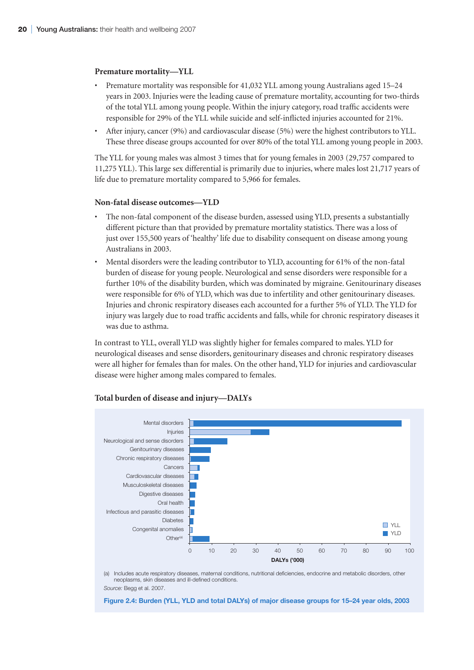#### **Premature mortality—YLL**

- Premature mortality was responsible for 41,032 YLL among young Australians aged 15–24 years in 2003. Injuries were the leading cause of premature mortality, accounting for two-thirds of the total YLL among young people. Within the injury category, road traffic accidents were responsible for 29% of the YLL while suicide and self-inflicted injuries accounted for 21%.
- After injury, cancer (9%) and cardiovascular disease (5%) were the highest contributors to YLL. These three disease groups accounted for over 80% of the total YLL among young people in 2003.

The YLL for young males was almost 3 times that for young females in 2003 (29,757 compared to 11,275 YLL). This large sex differential is primarily due to injuries, where males lost 21,717 years of life due to premature mortality compared to 5,966 for females.

#### **Non-fatal disease outcomes—YLD**

- The non-fatal component of the disease burden, assessed using YLD, presents a substantially different picture than that provided by premature mortality statistics. There was a loss of just over 155,500 years of 'healthy' life due to disability consequent on disease among young Australians in 2003.
- Mental disorders were the leading contributor to YLD, accounting for 61% of the non-fatal burden of disease for young people. Neurological and sense disorders were responsible for a further 10% of the disability burden, which was dominated by migraine. Genitourinary diseases were responsible for 6% of YLD, which was due to infertility and other genitourinary diseases. Injuries and chronic respiratory diseases each accounted for a further 5% of YLD. The YLD for injury was largely due to road traffic accidents and falls, while for chronic respiratory diseases it was due to asthma.

In contrast to YLL, overall YLD was slightly higher for females compared to males. YLD for neurological diseases and sense disorders, genitourinary diseases and chronic respiratory diseases were all higher for females than for males. On the other hand, YLD for injuries and cardiovascular disease were higher among males compared to females.



#### **Total burden of disease and injury—DALYs**

(a) Includes acute respiratory diseases, maternal conditions, nutritional deficiencies, endocrine and metabolic disorders, other neoplasms, skin diseases and ill-defined conditions. *Source:* Begg et al. 2007.

**Figure 2.4: Burden (YLL, YLD and total DALYs) of major disease groups for 15–24 year olds, 2003**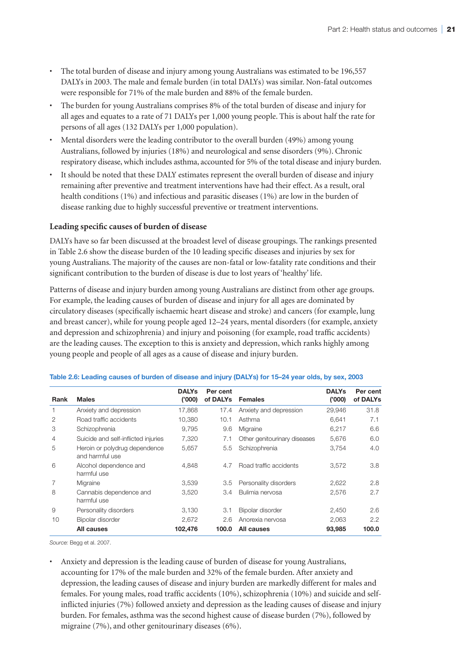- The total burden of disease and injury among young Australians was estimated to be 196,557 DALYs in 2003. The male and female burden (in total DALYs) was similar. Non-fatal outcomes were responsible for 71% of the male burden and 88% of the female burden.
- The burden for young Australians comprises 8% of the total burden of disease and injury for all ages and equates to a rate of 71 DALYs per 1,000 young people. This is about half the rate for persons of all ages (132 DALYs per 1,000 population).
- Mental disorders were the leading contributor to the overall burden (49%) among young Australians, followed by injuries (18%) and neurological and sense disorders (9%). Chronic respiratory disease, which includes asthma, accounted for 5% of the total disease and injury burden.
- It should be noted that these DALY estimates represent the overall burden of disease and injury remaining after preventive and treatment interventions have had their effect. As a result, oral health conditions (1%) and infectious and parasitic diseases (1%) are low in the burden of disease ranking due to highly successful preventive or treatment interventions.

# **Leading specific causes of burden of disease**

DALYs have so far been discussed at the broadest level of disease groupings. The rankings presented in Table 2.6 show the disease burden of the 10 leading specific diseases and injuries by sex for young Australians. The majority of the causes are non-fatal or low-fatality rate conditions and their significant contribution to the burden of disease is due to lost years of 'healthy' life.

Patterns of disease and injury burden among young Australians are distinct from other age groups. For example, the leading causes of burden of disease and injury for all ages are dominated by circulatory diseases (specifically ischaemic heart disease and stroke) and cancers (for example, lung and breast cancer), while for young people aged 12–24 years, mental disorders (for example, anxiety and depression and schizophrenia) and injury and poisoning (for example, road traffic accidents) are the leading causes. The exception to this is anxiety and depression, which ranks highly among young people and people of all ages as a cause of disease and injury burden.

| Rank | <b>Males</b>                                     | <b>DALYs</b><br>('000) | Per cent<br>of DALYs | <b>Females</b>               | <b>DALYs</b><br>('000) | Per cent<br>of DALYs |
|------|--------------------------------------------------|------------------------|----------------------|------------------------------|------------------------|----------------------|
| 1    | Anxiety and depression                           | 17,868                 | 17.4                 | Anxiety and depression       | 29,946                 | 31.8                 |
| 2    | Road traffic accidents                           | 10,380                 | 10.1                 | Asthma                       | 6,641                  | 7.1                  |
| 3    | Schizophrenia                                    | 9,795                  | 9.6                  | Migraine                     | 6,217                  | 6.6                  |
| 4    | Suicide and self-inflicted injuries              | 7,320                  | 7.1                  | Other genitourinary diseases | 5,676                  | 6.0                  |
| 5    | Heroin or polydrug dependence<br>and harmful use | 5,657                  | $5.5^{\circ}$        | Schizophrenia                | 3.754                  | 4.0                  |
| 6    | Alcohol dependence and<br>harmful use            | 4.848                  | 4.7                  | Road traffic accidents       | 3.572                  | 3.8                  |
|      | Migraine                                         | 3,539                  | 3.5                  | Personality disorders        | 2,622                  | 2.8                  |
| 8    | Cannabis dependence and<br>harmful use           | 3,520                  | 3.4                  | Bulimia nervosa              | 2,576                  | 2.7                  |
| 9    | Personality disorders                            | 3,130                  | 3.1                  | Bipolar disorder             | 2,450                  | 2.6                  |
| 10   | Bipolar disorder                                 | 2,672                  | 2.6                  | Anorexia nervosa             | 2,063                  | 2.2                  |
|      | All causes                                       | 102,476                | 100.0                | All causes                   | 93,985                 | 100.0                |

#### **Table 2.6: Leading causes of burden of disease and injury (DALYs) for 15–24 year olds, by sex, 2003**

*Source:* Begg et al. 2007.

• Anxiety and depression is the leading cause of burden of disease for young Australians, accounting for 17% of the male burden and 32% of the female burden. After anxiety and depression, the leading causes of disease and injury burden are markedly different for males and females. For young males, road traffic accidents (10%), schizophrenia (10%) and suicide and selfinflicted injuries (7%) followed anxiety and depression as the leading causes of disease and injury burden. For females, asthma was the second highest cause of disease burden (7%), followed by migraine (7%), and other genitourinary diseases (6%).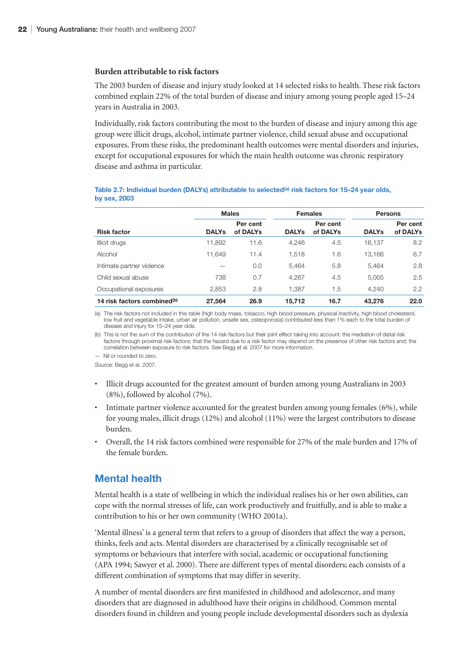#### **Burden attributable to risk factors**

The 2003 burden of disease and injury study looked at 14 selected risks to health. These risk factors combined explain 22% of the total burden of disease and injury among young people aged 15–24 years in Australia in 2003.

Individually, risk factors contributing the most to the burden of disease and injury among this age group were illicit drugs, alcohol, intimate partner violence, child sexual abuse and occupational exposures. From these risks, the predominant health outcomes were mental disorders and injuries, except for occupational exposures for which the main health outcome was chronic respiratory disease and asthma in particular.

|                                         |              | <b>Males</b>         |              | <b>Females</b>       | <b>Persons</b> |                      |
|-----------------------------------------|--------------|----------------------|--------------|----------------------|----------------|----------------------|
| <b>Risk factor</b>                      | <b>DALYs</b> | Per cent<br>of DALYs | <b>DALYs</b> | Per cent<br>of DALYs | <b>DALYs</b>   | Per cent<br>of DALYs |
| Illicit drugs                           | 11,892       | 11.6                 | 4.246        | 4.5                  | 16.137         | 8.2                  |
| Alcohol                                 | 11.649       | 11.4                 | 1.518        | 1.6                  | 13.166         | 6.7                  |
| Intimate partner violence               |              | 0.0                  | 5.464        | 5.8                  | 5.464          | 2.8                  |
| Child sexual abuse                      | 738          | 0.7                  | 4.267        | 4.5                  | 5,005          | 2.5                  |
| Occupational exposures                  | 2,853        | 2.8                  | 1.387        | 1.5                  | 4,240          | 2.2                  |
| 14 risk factors combined <sup>(b)</sup> | 27.564       | 26.9                 | 15,712       | 16.7                 | 43.276         | 22.0                 |

#### Table 2.7: Individual burden (DALYs) attributable to selected<sup>(a)</sup> risk factors for 15–24 year olds, **by sex, 2003**

(a) The risk factors not included in this table (high body mass, tobacco, high blood pressure, physical inactivity, high blood cholesterol, low fruit and vegetable intake, urban air pollution, unsafe sex, osteoporosis) contributed less than 1% each to the total burden of disease and injury for 15–24 year olds.

(b) This is not the sum of the contribution of the 14 risk factors but their joint effect taking into account: the mediation of distal risk factors through proximal risk factors; that the hazard due to a risk factor may depend on the presence of other risk factors and; the correlation between exposure to risk factors. See Begg et al. 2007 for more information.

— Nil or rounded to zero.

*Source:* Begg et al. 2007.

- Illicit drugs accounted for the greatest amount of burden among young Australians in 2003 (8%), followed by alcohol (7%).
- Intimate partner violence accounted for the greatest burden among young females (6%), while for young males, illicit drugs (12%) and alcohol (11%) were the largest contributors to disease burden.
- Overall, the 14 risk factors combined were responsible for 27% of the male burden and 17% of the female burden.

# **Mental health**

Mental health is a state of wellbeing in which the individual realises his or her own abilities, can cope with the normal stresses of life, can work productively and fruitfully, and is able to make a contribution to his or her own community (WHO 2001a).

'Mental illness' is a general term that refers to a group of disorders that affect the way a person, thinks, feels and acts. Mental disorders are characterised by a clinically recognisable set of symptoms or behaviours that interfere with social, academic or occupational functioning (APA 1994; Sawyer et al. 2000). There are different types of mental disorders; each consists of a different combination of symptoms that may differ in severity.

A number of mental disorders are first manifested in childhood and adolescence, and many disorders that are diagnosed in adulthood have their origins in childhood. Common mental disorders found in children and young people include developmental disorders such as dyslexia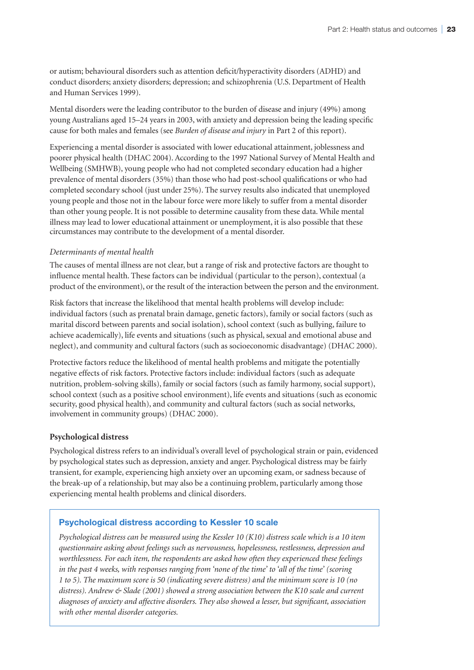or autism; behavioural disorders such as attention deficit/hyperactivity disorders (ADHD) and conduct disorders; anxiety disorders; depression; and schizophrenia (U.S. Department of Health and Human Services 1999).

Mental disorders were the leading contributor to the burden of disease and injury (49%) among young Australians aged 15–24 years in 2003, with anxiety and depression being the leading specific cause for both males and females (see *Burden of disease and injury* in Part 2 of this report).

Experiencing a mental disorder is associated with lower educational attainment, joblessness and poorer physical health (DHAC 2004). According to the 1997 National Survey of Mental Health and Wellbeing (SMHWB), young people who had not completed secondary education had a higher prevalence of mental disorders (35%) than those who had post-school qualifications or who had completed secondary school (just under 25%). The survey results also indicated that unemployed young people and those not in the labour force were more likely to suffer from a mental disorder than other young people. It is not possible to determine causality from these data. While mental illness may lead to lower educational attainment or unemployment, it is also possible that these circumstances may contribute to the development of a mental disorder.

# *Determinants of mental health*

The causes of mental illness are not clear, but a range of risk and protective factors are thought to influence mental health. These factors can be individual (particular to the person), contextual (a product of the environment), or the result of the interaction between the person and the environment.

Risk factors that increase the likelihood that mental health problems will develop include: individual factors (such as prenatal brain damage, genetic factors), family or social factors (such as marital discord between parents and social isolation), school context (such as bullying, failure to achieve academically), life events and situations (such as physical, sexual and emotional abuse and neglect), and community and cultural factors (such as socioeconomic disadvantage) (DHAC 2000).

Protective factors reduce the likelihood of mental health problems and mitigate the potentially negative effects of risk factors. Protective factors include: individual factors (such as adequate nutrition, problem-solving skills), family or social factors (such as family harmony, social support), school context (such as a positive school environment), life events and situations (such as economic security, good physical health), and community and cultural factors (such as social networks, involvement in community groups) (DHAC 2000).

# **Psychological distress**

Psychological distress refers to an individual's overall level of psychological strain or pain, evidenced by psychological states such as depression, anxiety and anger. Psychological distress may be fairly transient, for example, experiencing high anxiety over an upcoming exam, or sadness because of the break-up of a relationship, but may also be a continuing problem, particularly among those experiencing mental health problems and clinical disorders.

# **Psychological distress according to Kessler 10 scale**

*Psychological distress can be measured using the Kessler 10 (K10) distress scale which is a 10 item questionnaire asking about feelings such as nervousness, hopelessness, restlessness, depression and worthlessness. For each item, the respondents are asked how often they experienced these feelings in the past 4 weeks, with responses ranging from 'none of the time' to 'all of the time' (scoring 1 to 5). The maximum score is 50 (indicating severe distress) and the minimum score is 10 (no distress). Andrew & Slade (2001) showed a strong association between the K10 scale and current diagnoses of anxiety and affective disorders. They also showed a lesser, but significant, association with other mental disorder categories.*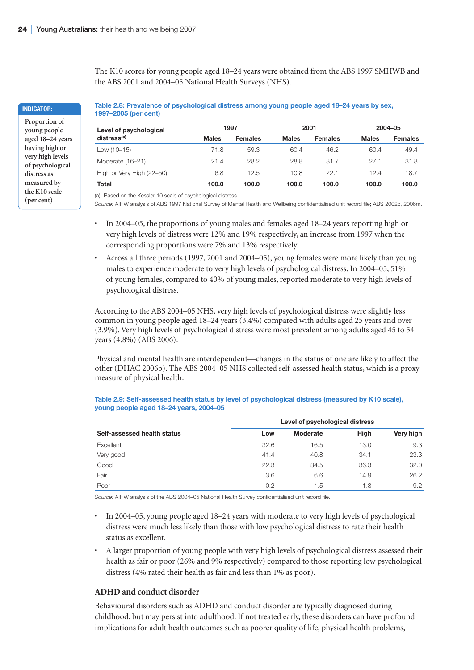The K10 scores for young people aged 18–24 years were obtained from the ABS 1997 SMHWB and the ABS 2001 and 2004–05 National Health Surveys (NHS).

**Table 2.8: Prevalence of psychological distress among young people aged 18–24 years by sex, 1997–2005 (per cent)**

| Level of psychological    |              | 1997           |              | 2001           |              | 2004-05        |
|---------------------------|--------------|----------------|--------------|----------------|--------------|----------------|
| distress <sup>(a)</sup>   | <b>Males</b> | <b>Females</b> | <b>Males</b> | <b>Females</b> | <b>Males</b> | <b>Females</b> |
| Low $(10-15)$             | 71.8         | 59.3           | 60.4         | 46.2           | 60.4         | 49.4           |
| Moderate (16-21)          | 21.4         | 28.2           | 28.8         | 31.7           | 27.1         | 31.8           |
| High or Very High (22-50) | 6.8          | 12.5           | 10.8         | 22.1           | 12.4         | 18.7           |
| <b>Total</b>              | 100.0        | 100.0          | 100.0        | 100.0          | 100.0        | 100.0          |

(a) Based on the Kessler 10 scale of psychological distress.

*Source:* AIHW analysis of ABS 1997 National Survey of Mental Health and Wellbeing confidentialised unit record file; ABS 2002c, 2006m.

- In 2004–05, the proportions of young males and females aged 18–24 years reporting high or very high levels of distress were 12% and 19% respectively, an increase from 1997 when the corresponding proportions were 7% and 13% respectively.
- Across all three periods (1997, 2001 and 2004–05), young females were more likely than young males to experience moderate to very high levels of psychological distress. In 2004–05, 51% of young females, compared to 40% of young males, reported moderate to very high levels of psychological distress.

According to the ABS 2004–05 NHS, very high levels of psychological distress were slightly less common in young people aged 18–24 years (3.4%) compared with adults aged 25 years and over (3.9%). Very high levels of psychological distress were most prevalent among adults aged 45 to 54 years (4.8%) (ABS 2006).

Physical and mental health are interdependent—changes in the status of one are likely to affect the other (DHAC 2006b). The ABS 2004–05 NHS collected self-assessed health status, which is a proxy measure of physical health.

|                             | Level of psychological distress |          |             |           |  |  |  |
|-----------------------------|---------------------------------|----------|-------------|-----------|--|--|--|
| Self-assessed health status | Low                             | Moderate | <b>High</b> | Very high |  |  |  |
| Excellent                   | 32.6                            | 16.5     | 13.0        | 9.3       |  |  |  |
| Very good                   | 41.4                            | 40.8     | 34.1        | 23.3      |  |  |  |
| Good                        | 22.3                            | 34.5     | 36.3        | 32.0      |  |  |  |
| Fair                        | 3.6                             | 6.6      | 14.9        | 26.2      |  |  |  |
| Poor                        | 0.2                             | 1.5      | 1.8         | 9.2       |  |  |  |

#### **Table 2.9: Self-assessed health status by level of psychological distress (measured by K10 scale), young people aged 18–24 years, 2004–05**

*Source:* AIHW analysis of the ABS 2004–05 National Health Survey confidentialised unit record file.

- In 2004–05, young people aged 18–24 years with moderate to very high levels of psychological distress were much less likely than those with low psychological distress to rate their health status as excellent.
- A larger proportion of young people with very high levels of psychological distress assessed their health as fair or poor (26% and 9% respectively) compared to those reporting low psychological distress (4% rated their health as fair and less than 1% as poor).

#### **ADHD and conduct disorder**

Behavioural disorders such as ADHD and conduct disorder are typically diagnosed during childhood, but may persist into adulthood. If not treated early, these disorders can have profound implications for adult health outcomes such as poorer quality of life, physical health problems,

**Indicator:**

**Proportion of young people aged 18–24 years having high or very high levels of psychological distress as measured by the K10 scale (per cent)**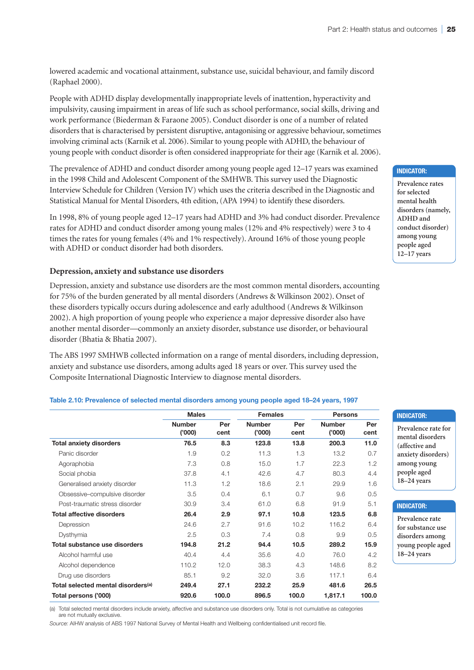lowered academic and vocational attainment, substance use, suicidal behaviour, and family discord (Raphael 2000).

People with ADHD display developmentally inappropriate levels of inattention, hyperactivity and impulsivity, causing impairment in areas of life such as school performance, social skills, driving and work performance (Biederman & Faraone 2005). Conduct disorder is one of a number of related disorders that is characterised by persistent disruptive, antagonising or aggressive behaviour, sometimes involving criminal acts (Karnik et al. 2006). Similar to young people with ADHD, the behaviour of young people with conduct disorder is often considered inappropriate for their age (Karnik et al. 2006).

The prevalence of ADHD and conduct disorder among young people aged 12–17 years was examined in the 1998 Child and Adolescent Component of the SMHWB. This survey used the Diagnostic Interview Schedule for Children (Version IV) which uses the criteria described in the Diagnostic and Statistical Manual for Mental Disorders, 4th edition, (APA 1994) to identify these disorders.

In 1998, 8% of young people aged 12–17 years had ADHD and 3% had conduct disorder. Prevalence rates for ADHD and conduct disorder among young males (12% and 4% respectively) were 3 to 4 times the rates for young females (4% and 1% respectively). Around 16% of those young people with ADHD or conduct disorder had both disorders.

#### **Depression, anxiety and substance use disorders**

Depression, anxiety and substance use disorders are the most common mental disorders, accounting for 75% of the burden generated by all mental disorders (Andrews & Wilkinson 2002). Onset of these disorders typically occurs during adolescence and early adulthood (Andrews & Wilkinson 2002). A high proportion of young people who experience a major depressive disorder also have another mental disorder—commonly an anxiety disorder, substance use disorder, or behavioural disorder (Bhatia & Bhatia 2007).

The ABS 1997 SMHWB collected information on a range of mental disorders, including depression, anxiety and substance use disorders, among adults aged 18 years or over. This survey used the Composite International Diagnostic Interview to diagnose mental disorders.

|                                                | <b>Males</b>            |             | <b>Females</b>          |             |                         | <b>Persons</b> |  |
|------------------------------------------------|-------------------------|-------------|-------------------------|-------------|-------------------------|----------------|--|
|                                                | <b>Number</b><br>('000) | Per<br>cent | <b>Number</b><br>('000) | Per<br>cent | <b>Number</b><br>(000)' | Per<br>cent    |  |
| <b>Total anxiety disorders</b>                 | 76.5                    | 8.3         | 123.8                   | 13.8        | 200.3                   | 11.0           |  |
| Panic disorder                                 | 1.9                     | 0.2         | 11.3                    | 1.3         | 13.2                    | 0.7            |  |
| Agoraphobia                                    | 7.3                     | 0.8         | 15.0                    | 1.7         | 22.3                    | 1.2            |  |
| Social phobia                                  | 37.8                    | 4.1         | 42.6                    | 4.7         | 80.3                    | 4.4            |  |
| Generalised anxiety disorder                   | 11.3                    | 1.2         | 18.6                    | 2.1         | 29.9                    | 1.6            |  |
| Obsessive-compulsive disorder                  | 3.5                     | 0.4         | 6.1                     | 0.7         | 9.6                     | 0.5            |  |
| Post-traumatic stress disorder                 | 30.9                    | 3.4         | 61.0                    | 6.8         | 91.9                    | 5.1            |  |
| <b>Total affective disorders</b>               | 26.4                    | 2.9         | 97.1                    | 10.8        | 123.5                   | 6.8            |  |
| Depression                                     | 24.6                    | 2.7         | 91.6                    | 10.2        | 116.2                   | 6.4            |  |
| Dysthymia                                      | 2.5                     | 0.3         | 7.4                     | 0.8         | 9.9                     | 0.5            |  |
| Total substance use disorders                  | 194.8                   | 21.2        | 94.4                    | 10.5        | 289.2                   | 15.9           |  |
| Alcohol harmful use                            | 40.4                    | 4.4         | 35.6                    | 4.0         | 76.0                    | 4.2            |  |
| Alcohol dependence                             | 110.2                   | 12.0        | 38.3                    | 4.3         | 148.6                   | 8.2            |  |
| Drug use disorders                             | 85.1                    | 9.2         | 32.0                    | 3.6         | 117.1                   | 6.4            |  |
| Total selected mental disorders <sup>(a)</sup> | 249.4                   | 27.1        | 232.2                   | 25.9        | 481.6                   | 26.5           |  |
| Total persons ('000)                           | 920.6                   | 100.0       | 896.5                   | 100.0       | 1,817.1                 | 100.0          |  |

#### **Table 2.10: Prevalence of selected mental disorders among young people aged 18–24 years, 1997**

(a) Total selected mental disorders include anxiety, affective and substance use disorders only. Total is not cumulative as categories are not mutually exclusive.

*Source:* AIHW analysis of ABS 1997 National Survey of Mental Health and Wellbeing confidentialised unit record file.

#### **Indicator:**

**Prevalence rates for selected mental health disorders (namely, ADHD and conduct disorder) among young people aged 12–17 years**

#### **Indicator:**

**Prevalence rate for mental disorders (affective and anxiety disorders) among young people aged 18–24 years**

#### **Indicator:**

**Prevalence rate for substance use disorders among young people aged 18–24 years**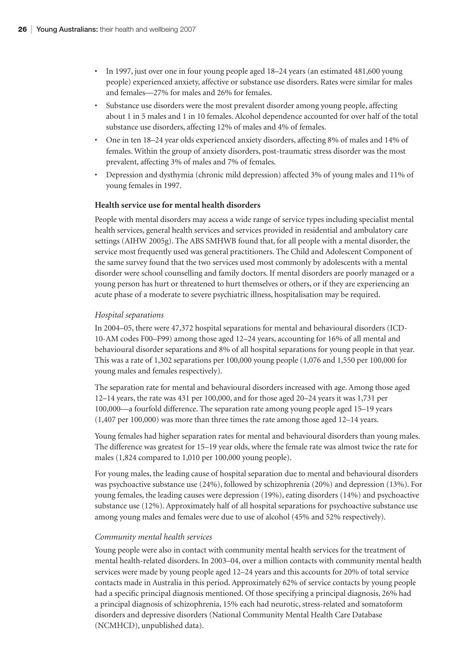- In 1997, just over one in four young people aged 18–24 years (an estimated 481,600 young people) experienced anxiety, affective or substance use disorders. Rates were similar for males and females—27% for males and 26% for females.
- Substance use disorders were the most prevalent disorder among young people, affecting about 1 in 5 males and 1 in 10 females. Alcohol dependence accounted for over half of the total substance use disorders, affecting 12% of males and 4% of females.
- One in ten 18–24 year olds experienced anxiety disorders, affecting 8% of males and 14% of females. Within the group of anxiety disorders, post-traumatic stress disorder was the most prevalent, affecting 3% of males and 7% of females.
- Depression and dysthymia (chronic mild depression) affected 3% of young males and 11% of young females in 1997.

#### **Health service use for mental health disorders**

People with mental disorders may access a wide range of service types including specialist mental health services, general health services and services provided in residential and ambulatory care settings (AIHW 2005g). The ABS SMHWB found that, for all people with a mental disorder, the service most frequently used was general practitioners. The Child and Adolescent Component of the same survey found that the two services used most commonly by adolescents with a mental disorder were school counselling and family doctors. If mental disorders are poorly managed or a young person has hurt or threatened to hurt themselves or others, or if they are experiencing an acute phase of a moderate to severe psychiatric illness, hospitalisation may be required.

#### *Hospital separations*

In 2004–05, there were 47,372 hospital separations for mental and behavioural disorders (ICD-10-AM codes F00–F99) among those aged 12–24 years, accounting for 16% of all mental and behavioural disorder separations and 8% of all hospital separations for young people in that year. This was a rate of 1,302 separations per 100,000 young people (1,076 and 1,550 per 100,000 for young males and females respectively).

The separation rate for mental and behavioural disorders increased with age. Among those aged 12–14 years, the rate was 431 per 100,000, and for those aged 20–24 years it was 1,731 per 100,000—a fourfold difference. The separation rate among young people aged 15–19 years (1,407 per 100,000) was more than three times the rate among those aged 12–14 years.

Young females had higher separation rates for mental and behavioural disorders than young males. The difference was greatest for 15–19 year olds, where the female rate was almost twice the rate for males (1,824 compared to 1,010 per 100,000 young people).

For young males, the leading cause of hospital separation due to mental and behavioural disorders was psychoactive substance use (24%), followed by schizophrenia (20%) and depression (13%). For young females, the leading causes were depression (19%), eating disorders (14%) and psychoactive substance use (12%). Approximately half of all hospital separations for psychoactive substance use among young males and females were due to use of alcohol (45% and 52% respectively).

#### *Community mental health services*

Young people were also in contact with community mental health services for the treatment of mental health-related disorders. In 2003–04, over a million contacts with community mental health services were made by young people aged 12–24 years and this accounts for 20% of total service contacts made in Australia in this period. Approximately 62% of service contacts by young people had a specific principal diagnosis mentioned. Of those specifying a principal diagnosis, 26% had a principal diagnosis of schizophrenia, 15% each had neurotic, stress-related and somatoform disorders and depressive disorders (National Community Mental Health Care Database (NCMHCD), unpublished data).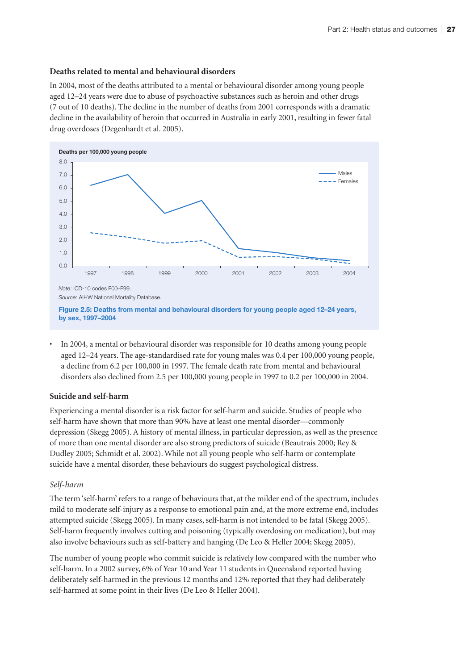#### **Deaths related to mental and behavioural disorders**

In 2004, most of the deaths attributed to a mental or behavioural disorder among young people aged 12–24 years were due to abuse of psychoactive substances such as heroin and other drugs (7 out of 10 deaths). The decline in the number of deaths from 2001 corresponds with a dramatic decline in the availability of heroin that occurred in Australia in early 2001, resulting in fewer fatal drug overdoses (Degenhardt et al. 2005).



**Figure 2.5: Deaths from mental and behavioural disorders for young people aged 12–24 years, by sex, 1997–2004**

• In 2004, a mental or behavioural disorder was responsible for 10 deaths among young people aged 12–24 years. The age-standardised rate for young males was 0.4 per 100,000 young people, a decline from 6.2 per 100,000 in 1997. The female death rate from mental and behavioural disorders also declined from 2.5 per 100,000 young people in 1997 to 0.2 per 100,000 in 2004.

# **Suicide and self-harm**

Experiencing a mental disorder is a risk factor for self-harm and suicide. Studies of people who self-harm have shown that more than 90% have at least one mental disorder—commonly depression (Skegg 2005). A history of mental illness, in particular depression, as well as the presence of more than one mental disorder are also strong predictors of suicide (Beautrais 2000; Rey & Dudley 2005; Schmidt et al. 2002). While not all young people who self-harm or contemplate suicide have a mental disorder, these behaviours do suggest psychological distress.

# *Self-harm*

The term 'self-harm' refers to a range of behaviours that, at the milder end of the spectrum, includes mild to moderate self-injury as a response to emotional pain and, at the more extreme end, includes attempted suicide (Skegg 2005). In many cases, self-harm is not intended to be fatal (Skegg 2005). Self-harm frequently involves cutting and poisoning (typically overdosing on medication), but may also involve behaviours such as self-battery and hanging (De Leo & Heller 2004; Skegg 2005).

The number of young people who commit suicide is relatively low compared with the number who self-harm. In a 2002 survey, 6% of Year 10 and Year 11 students in Queensland reported having deliberately self-harmed in the previous 12 months and 12% reported that they had deliberately self-harmed at some point in their lives (De Leo & Heller 2004).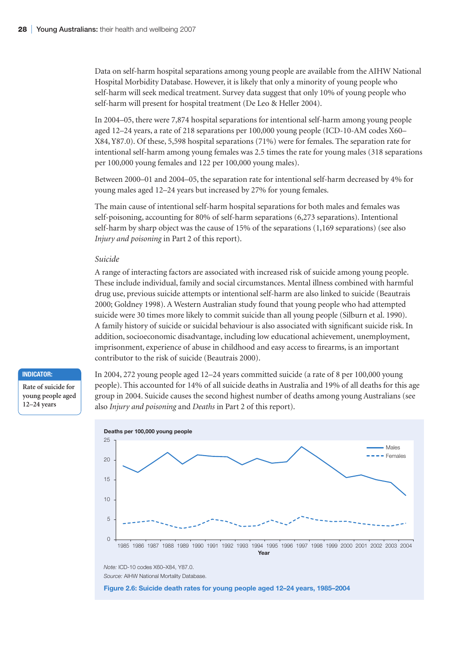Data on self-harm hospital separations among young people are available from the AIHW National Hospital Morbidity Database. However, it is likely that only a minority of young people who self-harm will seek medical treatment. Survey data suggest that only 10% of young people who self-harm will present for hospital treatment (De Leo & Heller 2004).

In 2004–05, there were 7,874 hospital separations for intentional self-harm among young people aged 12–24 years, a rate of 218 separations per 100,000 young people (ICD-10-AM codes X60– X84, Y87.0). Of these, 5,598 hospital separations (71%) were for females. The separation rate for intentional self-harm among young females was 2.5 times the rate for young males (318 separations per 100,000 young females and 122 per 100,000 young males).

Between 2000–01 and 2004–05, the separation rate for intentional self-harm decreased by 4% for young males aged 12–24 years but increased by 27% for young females.

The main cause of intentional self-harm hospital separations for both males and females was self-poisoning, accounting for 80% of self-harm separations (6,273 separations). Intentional self-harm by sharp object was the cause of 15% of the separations (1,169 separations) (see also *Injury and poisoning* in Part 2 of this report).

#### *Suicide*

A range of interacting factors are associated with increased risk of suicide among young people. These include individual, family and social circumstances. Mental illness combined with harmful drug use, previous suicide attempts or intentional self-harm are also linked to suicide (Beautrais 2000; Goldney 1998). A Western Australian study found that young people who had attempted suicide were 30 times more likely to commit suicide than all young people (Silburn et al. 1990). A family history of suicide or suicidal behaviour is also associated with significant suicide risk. In addition, socioeconomic disadvantage, including low educational achievement, unemployment, imprisonment, experience of abuse in childhood and easy access to firearms, is an important contributor to the risk of suicide (Beautrais 2000).

#### **Indicator:**

**Rate of suicide for young people aged 12–24 years**

In 2004, 272 young people aged 12–24 years committed suicide (a rate of 8 per 100,000 young people). This accounted for 14% of all suicide deaths in Australia and 19% of all deaths for this age group in 2004. Suicide causes the second highest number of deaths among young Australians (see also *Injury and poisoning* and *Deaths* in Part 2 of this report).



**Figure 2.6: Suicide death rates for young people aged 12–24 years, 1985–2004**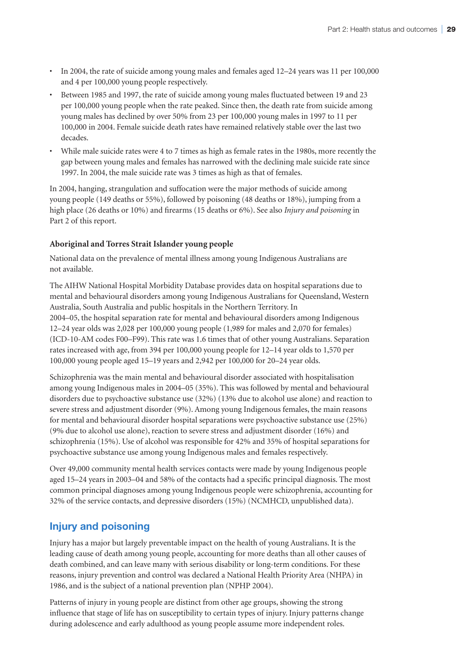- In 2004, the rate of suicide among young males and females aged 12–24 years was 11 per 100,000 and 4 per 100,000 young people respectively.
- Between 1985 and 1997, the rate of suicide among young males fluctuated between 19 and 23 per 100,000 young people when the rate peaked. Since then, the death rate from suicide among young males has declined by over 50% from 23 per 100,000 young males in 1997 to 11 per 100,000 in 2004. Female suicide death rates have remained relatively stable over the last two decades.
- While male suicide rates were 4 to 7 times as high as female rates in the 1980s, more recently the gap between young males and females has narrowed with the declining male suicide rate since 1997. In 2004, the male suicide rate was 3 times as high as that of females.

In 2004, hanging, strangulation and suffocation were the major methods of suicide among young people (149 deaths or 55%), followed by poisoning (48 deaths or 18%), jumping from a high place (26 deaths or 10%) and firearms (15 deaths or 6%). See also *Injury and poisoning* in Part 2 of this report.

#### **Aboriginal and Torres Strait Islander young people**

National data on the prevalence of mental illness among young Indigenous Australians are not available.

The AIHW National Hospital Morbidity Database provides data on hospital separations due to mental and behavioural disorders among young Indigenous Australians for Queensland, Western Australia, South Australia and public hospitals in the Northern Territory. In 2004–05, the hospital separation rate for mental and behavioural disorders among Indigenous 12–24 year olds was 2,028 per 100,000 young people (1,989 for males and 2,070 for females) (ICD-10-AM codes F00–F99). This rate was 1.6 times that of other young Australians. Separation rates increased with age, from 394 per 100,000 young people for 12–14 year olds to 1,570 per 100,000 young people aged 15–19 years and 2,942 per 100,000 for 20–24 year olds.

Schizophrenia was the main mental and behavioural disorder associated with hospitalisation among young Indigenous males in 2004–05 (35%). This was followed by mental and behavioural disorders due to psychoactive substance use (32%) (13% due to alcohol use alone) and reaction to severe stress and adjustment disorder (9%). Among young Indigenous females, the main reasons for mental and behavioural disorder hospital separations were psychoactive substance use (25%) (9% due to alcohol use alone), reaction to severe stress and adjustment disorder (16%) and schizophrenia (15%). Use of alcohol was responsible for 42% and 35% of hospital separations for psychoactive substance use among young Indigenous males and females respectively.

Over 49,000 community mental health services contacts were made by young Indigenous people aged 15–24 years in 2003–04 and 58% of the contacts had a specific principal diagnosis. The most common principal diagnoses among young Indigenous people were schizophrenia, accounting for 32% of the service contacts, and depressive disorders (15%) (NCMHCD, unpublished data).

# **Injury and poisoning**

Injury has a major but largely preventable impact on the health of young Australians. It is the leading cause of death among young people, accounting for more deaths than all other causes of death combined, and can leave many with serious disability or long-term conditions. For these reasons, injury prevention and control was declared a National Health Priority Area (NHPA) in 1986, and is the subject of a national prevention plan (NPHP 2004).

Patterns of injury in young people are distinct from other age groups, showing the strong influence that stage of life has on susceptibility to certain types of injury. Injury patterns change during adolescence and early adulthood as young people assume more independent roles.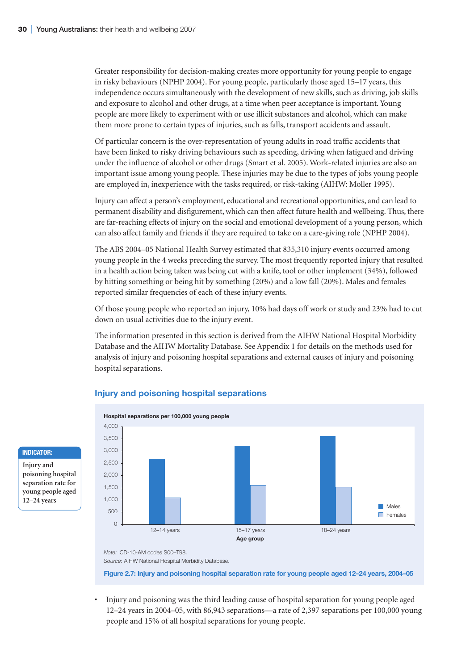Greater responsibility for decision-making creates more opportunity for young people to engage in risky behaviours (NPHP 2004). For young people, particularly those aged 15–17 years, this independence occurs simultaneously with the development of new skills, such as driving, job skills and exposure to alcohol and other drugs, at a time when peer acceptance is important. Young people are more likely to experiment with or use illicit substances and alcohol, which can make them more prone to certain types of injuries, such as falls, transport accidents and assault.

Of particular concern is the over-representation of young adults in road traffic accidents that have been linked to risky driving behaviours such as speeding, driving when fatigued and driving under the influence of alcohol or other drugs (Smart et al. 2005). Work-related injuries are also an important issue among young people. These injuries may be due to the types of jobs young people are employed in, inexperience with the tasks required, or risk-taking (AIHW: Moller 1995).

Injury can affect a person's employment, educational and recreational opportunities, and can lead to permanent disability and disfigurement, which can then affect future health and wellbeing. Thus, there are far-reaching effects of injury on the social and emotional development of a young person, which can also affect family and friends if they are required to take on a care-giving role (NPHP 2004).

The ABS 2004–05 National Health Survey estimated that 835,310 injury events occurred among young people in the 4 weeks preceding the survey. The most frequently reported injury that resulted in a health action being taken was being cut with a knife, tool or other implement (34%), followed by hitting something or being hit by something (20%) and a low fall (20%). Males and females reported similar frequencies of each of these injury events.

Of those young people who reported an injury, 10% had days off work or study and 23% had to cut down on usual activities due to the injury event.

The information presented in this section is derived from the AIHW National Hospital Morbidity Database and the AIHW Mortality Database. See Appendix 1 for details on the methods used for analysis of injury and poisoning hospital separations and external causes of injury and poisoning hospital separations.



# **Injury and poisoning hospital separations**

*Note:* ICD-10-AM codes S00–T98.

*Source:* AIHW National Hospital Morbidity Database.

**Figure 2.7: Injury and poisoning hospital separation rate for young people aged 12–24 years, 2004–05**

• Injury and poisoning was the third leading cause of hospital separation for young people aged 12–24 years in 2004–05, with 86,943 separations—a rate of 2,397 separations per 100,000 young people and 15% of all hospital separations for young people.

#### **Indicator:**

**Injury and poisoning hospital separation rate for young people aged 12–24 years**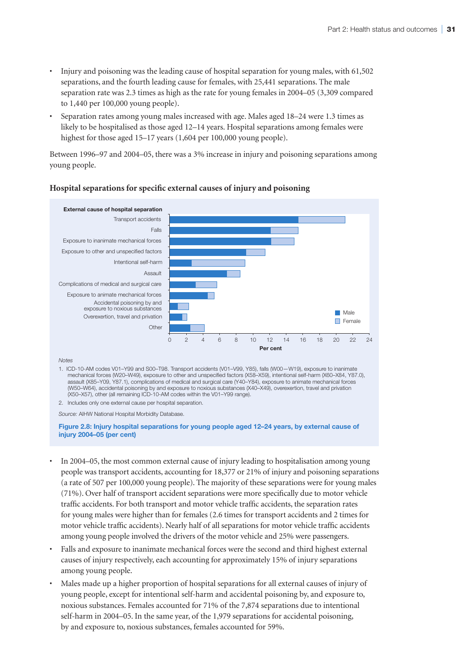- Injury and poisoning was the leading cause of hospital separation for young males, with 61,502 separations, and the fourth leading cause for females, with 25,441 separations. The male separation rate was 2.3 times as high as the rate for young females in 2004–05 (3,309 compared to 1,440 per 100,000 young people).
- Separation rates among young males increased with age. Males aged 18–24 were 1.3 times as likely to be hospitalised as those aged 12–14 years. Hospital separations among females were highest for those aged 15–17 years (1,604 per 100,000 young people).

Between 1996–97 and 2004–05, there was a 3% increase in injury and poisoning separations among young people.



#### **Hospital separations for specific external causes of injury and poisoning**

*Notes*

1. ICD-10-AM codes V01–Y99 and S00–T98. Transport accidents (V01–V99, Y85), falls (W00—W19), exposure to inanimate mechanical forces (W20–W49), exposure to other and unspecified factors (X58–X59), intentional self-harm (X60–X84, Y87.0), assault (X85–Y09, Y87.1), complications of medical and surgical care (Y40–Y84), exposure to animate mechanical forces (W50–W64), accidental poisoning by and exposure to noxious substances (X40–X49), overexertion, travel and privation (X50–X57), other (all remaining ICD-10-AM codes within the V01–Y99 range).

2. Includes only one external cause per hospital separation.

*Source:* AIHW National Hospital Morbidity Database.

**Figure 2.8: Injury hospital separations for young people aged 12–24 years, by external cause of injury 2004–05 (per cent)**

- In 2004–05, the most common external cause of injury leading to hospitalisation among young people was transport accidents, accounting for 18,377 or 21% of injury and poisoning separations (a rate of 507 per 100,000 young people). The majority of these separations were for young males (71%). Over half of transport accident separations were more specifically due to motor vehicle traffic accidents. For both transport and motor vehicle traffic accidents, the separation rates for young males were higher than for females (2.6 times for transport accidents and 2 times for motor vehicle traffic accidents). Nearly half of all separations for motor vehicle traffic accidents among young people involved the drivers of the motor vehicle and 25% were passengers.
- Falls and exposure to inanimate mechanical forces were the second and third highest external causes of injury respectively, each accounting for approximately 15% of injury separations among young people.
- Males made up a higher proportion of hospital separations for all external causes of injury of young people, except for intentional self-harm and accidental poisoning by, and exposure to, noxious substances. Females accounted for 71% of the 7,874 separations due to intentional self-harm in 2004–05. In the same year, of the 1,979 separations for accidental poisoning, by and exposure to, noxious substances, females accounted for 59%.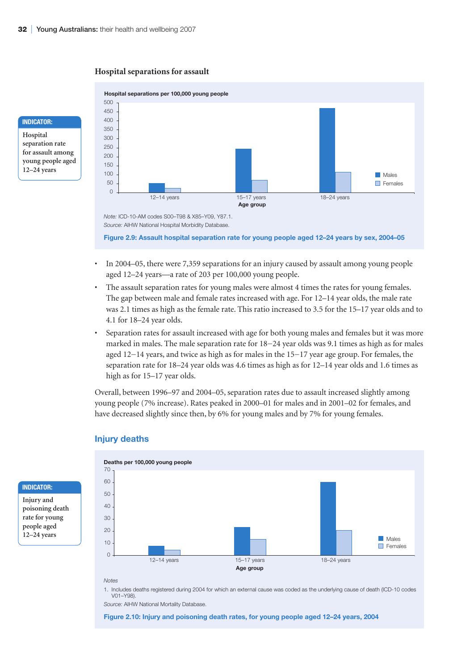#### **Hospital separations for assault**

#### **Indicator:**

**Hospital separation rate for assault among young people aged 12–24 years**



*Source:* AIHW National Hospital Morbidity Database.

**Figure 2.9: Assault hospital separation rate for young people aged 12–24 years by sex, 2004–05**

- In 2004–05, there were 7,359 separations for an injury caused by assault among young people aged 12–24 years—a rate of 203 per 100,000 young people.
- The assault separation rates for young males were almost 4 times the rates for young females. The gap between male and female rates increased with age. For 12–14 year olds, the male rate was 2.1 times as high as the female rate. This ratio increased to 3.5 for the 15–17 year olds and to 4.1 for 18–24 year olds.
- Separation rates for assault increased with age for both young males and females but it was more marked in males. The male separation rate for 18−24 year olds was 9.1 times as high as for males aged 12−14 years, and twice as high as for males in the 15−17 year age group. For females, the separation rate for 18–24 year olds was 4.6 times as high as for 12–14 year olds and 1.6 times as high as for 15–17 year olds.

Overall, between 1996–97 and 2004–05, separation rates due to assault increased slightly among young people (7% increase). Rates peaked in 2000–01 for males and in 2001–02 for females, and have decreased slightly since then, by 6% for young males and by 7% for young females.



#### **Injury deaths**

**Indicator:**

**Injury and poisoning death rate for young people aged 12–24 years**



1. Includes deaths registered during 2004 for which an external cause was coded as the underlying cause of death (ICD-10 codes V01–Y98).

*Source:* AIHW National Mortality Database.

**Figure 2.10: Injury and poisoning death rates, for young people aged 12–24 years, 2004**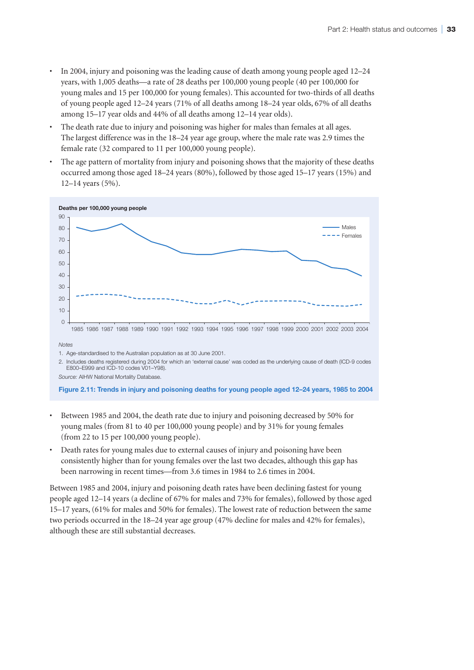- In 2004, injury and poisoning was the leading cause of death among young people aged 12–24 years, with 1,005 deaths—a rate of 28 deaths per 100,000 young people (40 per 100,000 for young males and 15 per 100,000 for young females). This accounted for two-thirds of all deaths of young people aged 12–24 years (71% of all deaths among 18–24 year olds, 67% of all deaths among 15–17 year olds and 44% of all deaths among 12–14 year olds).
- The death rate due to injury and poisoning was higher for males than females at all ages. The largest difference was in the 18–24 year age group, where the male rate was 2.9 times the female rate (32 compared to 11 per 100,000 young people).
- The age pattern of mortality from injury and poisoning shows that the majority of these deaths occurred among those aged 18–24 years (80%), followed by those aged 15–17 years (15%) and 12–14 years (5%).



**Figure 2.11: Trends in injury and poisoning deaths for young people aged 12–24 years, 1985 to 2004**

- Between 1985 and 2004, the death rate due to injury and poisoning decreased by 50% for young males (from 81 to 40 per 100,000 young people) and by 31% for young females (from 22 to 15 per 100,000 young people).
- Death rates for young males due to external causes of injury and poisoning have been consistently higher than for young females over the last two decades, although this gap has been narrowing in recent times—from 3.6 times in 1984 to 2.6 times in 2004.

Between 1985 and 2004, injury and poisoning death rates have been declining fastest for young people aged 12–14 years (a decline of 67% for males and 73% for females), followed by those aged 15–17 years, (61% for males and 50% for females). The lowest rate of reduction between the same two periods occurred in the 18–24 year age group (47% decline for males and 42% for females), although these are still substantial decreases.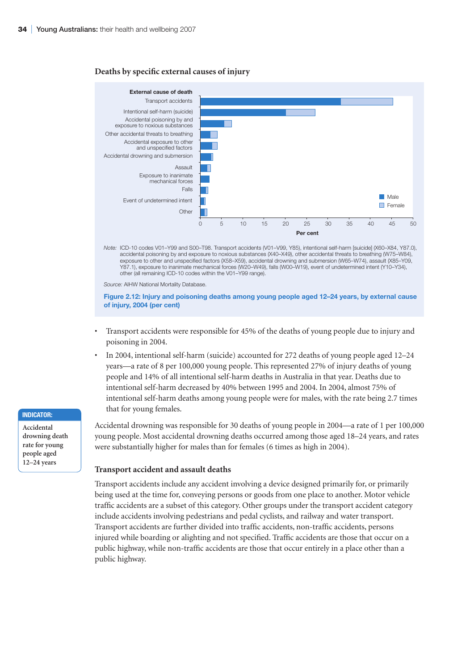#### **Deaths by specific external causes of injury**



*Note:* ICD-10 codes V01–Y99 and S00–T98. Transport accidents (V01–V99, Y85), intentional self-harm [suicide] (X60–X84, Y87.0), accidental poisoning by and exposure to noxious substances (X40–X49), other accidental threats to breathing (W75–W84), exposure to other and unspecified factors (X58–X59), accidental drowning and submersion (W65–W74), assault (X85–Y09, Y87.1), exposure to inanimate mechanical forces (W20–W49), falls (W00–W19), event of undetermined intent (Y10–Y34), other (all remaining ICD-10 codes within the V01–Y99 range).

*Source:* AIHW National Mortality Database.

**Figure 2.12: Injury and poisoning deaths among young people aged 12–24 years, by external cause of injury, 2004 (per cent)**

- Transport accidents were responsible for 45% of the deaths of young people due to injury and poisoning in 2004.
- In 2004, intentional self-harm (suicide) accounted for 272 deaths of young people aged 12–24 years—a rate of 8 per 100,000 young people. This represented 27% of injury deaths of young people and 14% of all intentional self-harm deaths in Australia in that year. Deaths due to intentional self-harm decreased by 40% between 1995 and 2004. In 2004, almost 75% of intentional self-harm deaths among young people were for males, with the rate being 2.7 times that for young females.

Accidental drowning was responsible for 30 deaths of young people in 2004—a rate of 1 per 100,000 young people. Most accidental drowning deaths occurred among those aged 18–24 years, and rates were substantially higher for males than for females (6 times as high in 2004).

#### **Transport accident and assault deaths**

Transport accidents include any accident involving a device designed primarily for, or primarily being used at the time for, conveying persons or goods from one place to another. Motor vehicle traffic accidents are a subset of this category. Other groups under the transport accident category include accidents involving pedestrians and pedal cyclists, and railway and water transport. Transport accidents are further divided into traffic accidents, non-traffic accidents, persons injured while boarding or alighting and not specified. Traffic accidents are those that occur on a public highway, while non-traffic accidents are those that occur entirely in a place other than a public highway.

#### **Indicator:**

**Accidental drowning death rate for young people aged 12–24 years**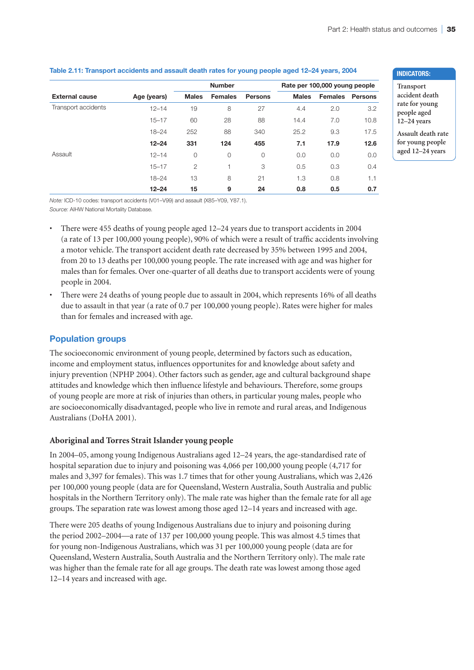|                       |             |              | <b>Number</b>  |                |              | Rate per 100,000 young people |                |  |
|-----------------------|-------------|--------------|----------------|----------------|--------------|-------------------------------|----------------|--|
| <b>External cause</b> | Age (years) | <b>Males</b> | <b>Females</b> | <b>Persons</b> | <b>Males</b> | <b>Females</b>                | <b>Persons</b> |  |
| Transport accidents   | $12 - 14$   | 19           | 8              | 27             | 4.4          | 2.0                           | 3.2            |  |
|                       | $15 - 17$   | 60           | 28             | 88             | 14.4         | 7.0                           | 10.8           |  |
|                       | $18 - 24$   | 252          | 88             | 340            | 25.2         | 9.3                           | 17.5           |  |
|                       | $12 - 24$   | 331          | 124            | 455            | 7.1          | 17.9                          | 12.6           |  |
| Assault               | $12 - 14$   | $\circ$      | $\circ$        | $\circ$        | 0.0          | 0.0                           | 0.0            |  |
|                       | $15 - 17$   | 2            |                | 3              | 0.5          | 0.3                           | 0.4            |  |
|                       | $18 - 24$   | 13           | 8              | 21             | 1.3          | 0.8                           | 1.1            |  |
|                       | $12 - 24$   | 15           | 9              | 24             | 0.8          | 0.5                           | 0.7            |  |

#### **Table 2.11: Transport accidents and assault death rates for young people aged 12–24 years, 2004**

*Note:* ICD-10 codes: transport accidents (V01–V99) and assault (X85–Y09, Y87.1). *Source:* AIHW National Mortality Database.

- There were 455 deaths of young people aged 12–24 years due to transport accidents in 2004 (a rate of 13 per 100,000 young people), 90% of which were a result of traffic accidents involving a motor vehicle. The transport accident death rate decreased by 35% between 1995 and 2004, from 20 to 13 deaths per 100,000 young people. The rate increased with age and was higher for males than for females. Over one-quarter of all deaths due to transport accidents were of young people in 2004.
- There were 24 deaths of young people due to assault in 2004, which represents 16% of all deaths due to assault in that year (a rate of 0.7 per 100,000 young people). Rates were higher for males than for females and increased with age.

# **Population groups**

The socioeconomic environment of young people, determined by factors such as education, income and employment status, influences opportunites for and knowledge about safety and injury prevention (NPHP 2004). Other factors such as gender, age and cultural background shape attitudes and knowledge which then influence lifestyle and behaviours. Therefore, some groups of young people are more at risk of injuries than others, in particular young males, people who are socioeconomically disadvantaged, people who live in remote and rural areas, and Indigenous Australians (DoHA 2001).

# **Aboriginal and Torres Strait Islander young people**

In 2004–05, among young Indigenous Australians aged 12–24 years, the age-standardised rate of hospital separation due to injury and poisoning was 4,066 per 100,000 young people (4,717 for males and 3,397 for females). This was 1.7 times that for other young Australians, which was 2,426 per 100,000 young people (data are for Queensland, Western Australia, South Australia and public hospitals in the Northern Territory only). The male rate was higher than the female rate for all age groups. The separation rate was lowest among those aged 12–14 years and increased with age.

There were 205 deaths of young Indigenous Australians due to injury and poisoning during the period 2002–2004—a rate of 137 per 100,000 young people. This was almost 4.5 times that for young non-Indigenous Australians, which was 31 per 100,000 young people (data are for Queensland, Western Australia, South Australia and the Northern Territory only). The male rate was higher than the female rate for all age groups. The death rate was lowest among those aged 12–14 years and increased with age.

#### **IndicatorS:**

**Transport accident death rate for young people aged 12–24 years**

**Assault death rate for young people aged 12–24 years**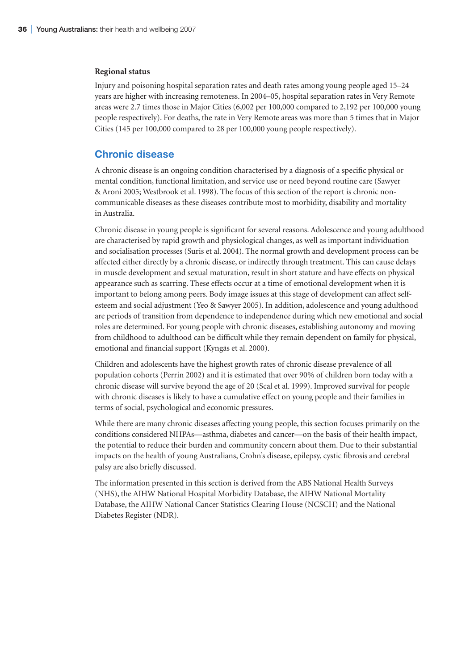#### **Regional status**

Injury and poisoning hospital separation rates and death rates among young people aged 15–24 years are higher with increasing remoteness. In 2004–05, hospital separation rates in Very Remote areas were 2.7 times those in Major Cities (6,002 per 100,000 compared to 2,192 per 100,000 young people respectively). For deaths, the rate in Very Remote areas was more than 5 times that in Major Cities (145 per 100,000 compared to 28 per 100,000 young people respectively).

#### **Chronic disease**

A chronic disease is an ongoing condition characterised by a diagnosis of a specific physical or mental condition, functional limitation, and service use or need beyond routine care (Sawyer & Aroni 2005; Westbrook et al. 1998). The focus of this section of the report is chronic noncommunicable diseases as these diseases contribute most to morbidity, disability and mortality in Australia.

Chronic disease in young people is significant for several reasons. Adolescence and young adulthood are characterised by rapid growth and physiological changes, as well as important individuation and socialisation processes (Suris et al. 2004). The normal growth and development process can be affected either directly by a chronic disease, or indirectly through treatment. This can cause delays in muscle development and sexual maturation, result in short stature and have effects on physical appearance such as scarring. These effects occur at a time of emotional development when it is important to belong among peers. Body image issues at this stage of development can affect selfesteem and social adjustment (Yeo & Sawyer 2005). In addition, adolescence and young adulthood are periods of transition from dependence to independence during which new emotional and social roles are determined. For young people with chronic diseases, establishing autonomy and moving from childhood to adulthood can be difficult while they remain dependent on family for physical, emotional and financial support (Kyngäs et al. 2000).

Children and adolescents have the highest growth rates of chronic disease prevalence of all population cohorts (Perrin 2002) and it is estimated that over 90% of children born today with a chronic disease will survive beyond the age of 20 (Scal et al. 1999). Improved survival for people with chronic diseases is likely to have a cumulative effect on young people and their families in terms of social, psychological and economic pressures.

While there are many chronic diseases affecting young people, this section focuses primarily on the conditions considered NHPAs—asthma, diabetes and cancer—on the basis of their health impact, the potential to reduce their burden and community concern about them. Due to their substantial impacts on the health of young Australians, Crohn's disease, epilepsy, cystic fibrosis and cerebral palsy are also briefly discussed.

The information presented in this section is derived from the ABS National Health Surveys (NHS), the AIHW National Hospital Morbidity Database, the AIHW National Mortality Database, the AIHW National Cancer Statistics Clearing House (NCSCH) and the National Diabetes Register (NDR).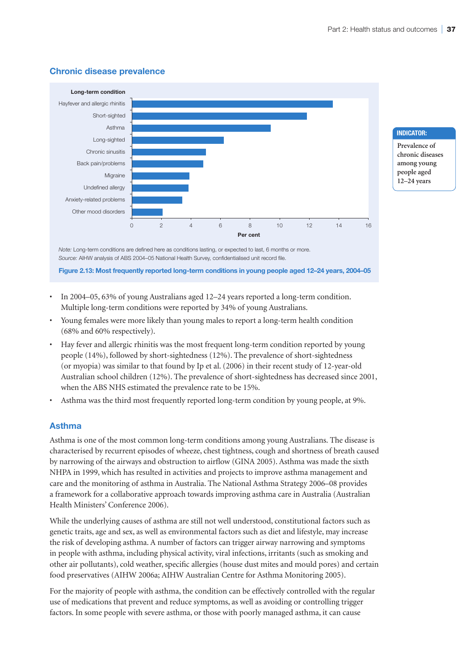



**Indicator:**

**Prevalence of chronic diseases among young people aged 12–24 years**

*Note:* Long-term conditions are defined here as conditions lasting, or expected to last, 6 months or more. *Source:* AIHW analysis of ABS 2004–05 National Health Survey, confidentialised unit record file.

**Figure 2.13: Most frequently reported long-term conditions in young people aged 12–24 years, 2004–05**

- In 2004–05, 63% of young Australians aged 12–24 years reported a long-term condition. Multiple long-term conditions were reported by 34% of young Australians.
- Young females were more likely than young males to report a long-term health condition (68% and 60% respectively).
- Hay fever and allergic rhinitis was the most frequent long-term condition reported by young people (14%), followed by short-sightedness (12%). The prevalence of short-sightedness (or myopia) was similar to that found by Ip et al. (2006) in their recent study of 12-year-old Australian school children (12%). The prevalence of short-sightedness has decreased since 2001, when the ABS NHS estimated the prevalence rate to be 15%.
- Asthma was the third most frequently reported long-term condition by young people, at 9%.

#### **Asthma**

Asthma is one of the most common long-term conditions among young Australians. The disease is characterised by recurrent episodes of wheeze, chest tightness, cough and shortness of breath caused by narrowing of the airways and obstruction to airflow (GINA 2005). Asthma was made the sixth NHPA in 1999, which has resulted in activities and projects to improve asthma management and care and the monitoring of asthma in Australia. The National Asthma Strategy 2006–08 provides a framework for a collaborative approach towards improving asthma care in Australia (Australian Health Ministers' Conference 2006).

While the underlying causes of asthma are still not well understood, constitutional factors such as genetic traits, age and sex, as well as environmental factors such as diet and lifestyle, may increase the risk of developing asthma. A number of factors can trigger airway narrowing and symptoms in people with asthma, including physical activity, viral infections, irritants (such as smoking and other air pollutants), cold weather, specific allergies (house dust mites and mould pores) and certain food preservatives (AIHW 2006a; AIHW Australian Centre for Asthma Monitoring 2005).

For the majority of people with asthma, the condition can be effectively controlled with the regular use of medications that prevent and reduce symptoms, as well as avoiding or controlling trigger factors. In some people with severe asthma, or those with poorly managed asthma, it can cause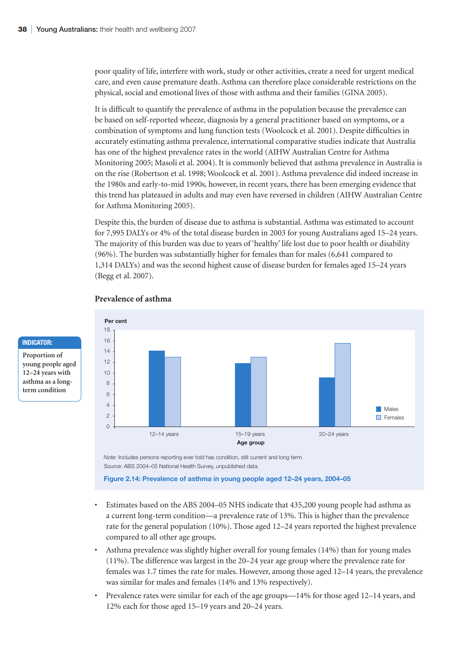poor quality of life, interfere with work, study or other activities, create a need for urgent medical care, and even cause premature death. Asthma can therefore place considerable restrictions on the physical, social and emotional lives of those with asthma and their families (GINA 2005).

It is difficult to quantify the prevalence of asthma in the population because the prevalence can be based on self-reported wheeze, diagnosis by a general practitioner based on symptoms, or a combination of symptoms and lung function tests (Woolcock et al. 2001). Despite difficulties in accurately estimating asthma prevalence, international comparative studies indicate that Australia has one of the highest prevalence rates in the world (AIHW Australian Centre for Asthma Monitoring 2005; Masoli et al. 2004). It is commonly believed that asthma prevalence in Australia is on the rise (Robertson et al. 1998; Woolcock et al. 2001). Asthma prevalence did indeed increase in the 1980s and early-to-mid 1990s, however, in recent years, there has been emerging evidence that this trend has plateaued in adults and may even have reversed in children (AIHW Australian Centre for Asthma Monitoring 2005).

Despite this, the burden of disease due to asthma is substantial. Asthma was estimated to account for 7,995 DALYs or 4% of the total disease burden in 2003 for young Australians aged 15–24 years. The majority of this burden was due to years of 'healthy' life lost due to poor health or disability (96%). The burden was substantially higher for females than for males (6,641 compared to 1,314 DALYs) and was the second highest cause of disease burden for females aged 15–24 years (Begg et al. 2007).



#### **Prevalence of asthma**

**Indicator: Proportion of young people aged 12–24 years with asthma as a longterm condition**

> *Note:* Includes persons reporting ever told has condition, still current and long term. *Source:* ABS 2004–05 National Health Survey, unpublished data.

**Figure 2.14: Prevalence of asthma in young people aged 12–24 years, 2004–05**

- Estimates based on the ABS 2004–05 NHS indicate that 435,200 young people had asthma as a current long-term condition—a prevalence rate of 13%. This is higher than the prevalence rate for the general population (10%). Those aged 12–24 years reported the highest prevalence compared to all other age groups.
- Asthma prevalence was slightly higher overall for young females (14%) than for young males (11%). The difference was largest in the 20–24 year age group where the prevalence rate for females was 1.7 times the rate for males. However, among those aged 12–14 years, the prevalence was similar for males and females (14% and 13% respectively).
- Prevalence rates were similar for each of the age groups—14% for those aged 12–14 years, and 12% each for those aged 15–19 years and 20–24 years.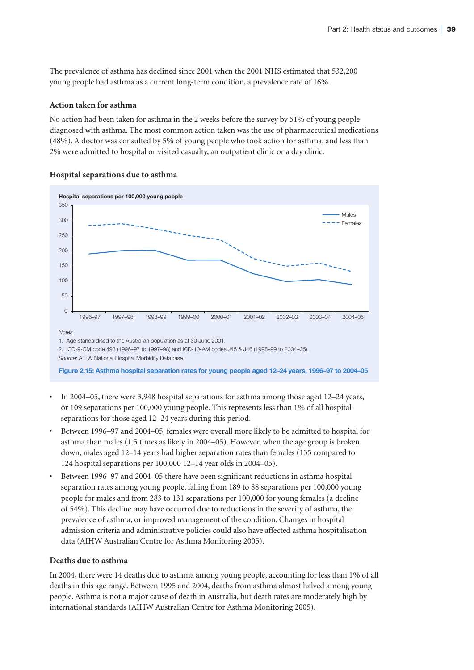The prevalence of asthma has declined since 2001 when the 2001 NHS estimated that 532,200 young people had asthma as a current long-term condition, a prevalence rate of 16%.

#### **Action taken for asthma**

No action had been taken for asthma in the 2 weeks before the survey by 51% of young people diagnosed with asthma. The most common action taken was the use of pharmaceutical medications (48%). A doctor was consulted by 5% of young people who took action for asthma, and less than 2% were admitted to hospital or visited casualty, an outpatient clinic or a day clinic.



# **Hospital separations due to asthma**

**Figure 2.15: Asthma hospital separation rates for young people aged 12–24 years, 1996–97 to 2004–05**

- In 2004–05, there were 3,948 hospital separations for asthma among those aged 12–24 years, or 109 separations per 100,000 young people. This represents less than 1% of all hospital separations for those aged 12–24 years during this period.
- Between 1996–97 and 2004–05, females were overall more likely to be admitted to hospital for asthma than males (1.5 times as likely in 2004–05). However, when the age group is broken down, males aged 12–14 years had higher separation rates than females (135 compared to 124 hospital separations per 100,000 12–14 year olds in 2004–05).
- Between 1996–97 and 2004–05 there have been significant reductions in asthma hospital separation rates among young people, falling from 189 to 88 separations per 100,000 young people for males and from 283 to 131 separations per 100,000 for young females (a decline of 54%). This decline may have occurred due to reductions in the severity of asthma, the prevalence of asthma, or improved management of the condition. Changes in hospital admission criteria and administrative policies could also have affected asthma hospitalisation data (AIHW Australian Centre for Asthma Monitoring 2005).

#### **Deaths due to asthma**

In 2004, there were 14 deaths due to asthma among young people, accounting for less than 1% of all deaths in this age range. Between 1995 and 2004, deaths from asthma almost halved among young people. Asthma is not a major cause of death in Australia, but death rates are moderately high by international standards (AIHW Australian Centre for Asthma Monitoring 2005).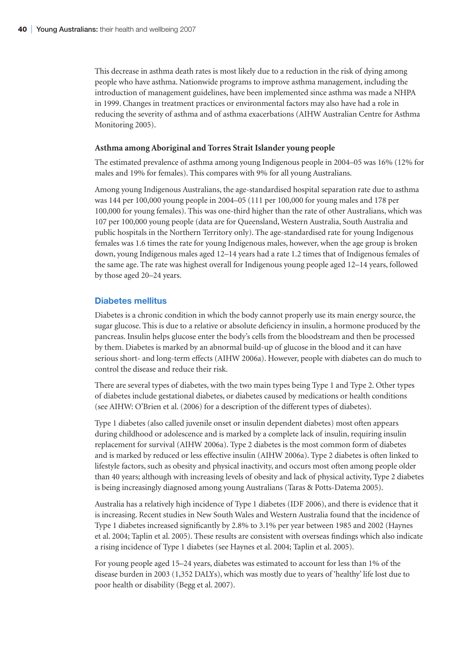This decrease in asthma death rates is most likely due to a reduction in the risk of dying among people who have asthma. Nationwide programs to improve asthma management, including the introduction of management guidelines, have been implemented since asthma was made a NHPA in 1999. Changes in treatment practices or environmental factors may also have had a role in reducing the severity of asthma and of asthma exacerbations (AIHW Australian Centre for Asthma Monitoring 2005).

#### **Asthma among Aboriginal and Torres Strait Islander young people**

The estimated prevalence of asthma among young Indigenous people in 2004–05 was 16% (12% for males and 19% for females). This compares with 9% for all young Australians.

Among young Indigenous Australians, the age-standardised hospital separation rate due to asthma was 144 per 100,000 young people in 2004–05 (111 per 100,000 for young males and 178 per 100,000 for young females). This was one-third higher than the rate of other Australians, which was 107 per 100,000 young people (data are for Queensland, Western Australia, South Australia and public hospitals in the Northern Territory only). The age-standardised rate for young Indigenous females was 1.6 times the rate for young Indigenous males, however, when the age group is broken down, young Indigenous males aged 12–14 years had a rate 1.2 times that of Indigenous females of the same age. The rate was highest overall for Indigenous young people aged 12–14 years, followed by those aged 20–24 years.

#### **Diabetes mellitus**

Diabetes is a chronic condition in which the body cannot properly use its main energy source, the sugar glucose. This is due to a relative or absolute deficiency in insulin, a hormone produced by the pancreas. Insulin helps glucose enter the body's cells from the bloodstream and then be processed by them. Diabetes is marked by an abnormal build-up of glucose in the blood and it can have serious short- and long-term effects (AIHW 2006a). However, people with diabetes can do much to control the disease and reduce their risk.

There are several types of diabetes, with the two main types being Type 1 and Type 2. Other types of diabetes include gestational diabetes, or diabetes caused by medications or health conditions (see AIHW: O'Brien et al. (2006) for a description of the different types of diabetes).

Type 1 diabetes (also called juvenile onset or insulin dependent diabetes) most often appears during childhood or adolescence and is marked by a complete lack of insulin, requiring insulin replacement for survival (AIHW 2006a). Type 2 diabetes is the most common form of diabetes and is marked by reduced or less effective insulin (AIHW 2006a). Type 2 diabetes is often linked to lifestyle factors, such as obesity and physical inactivity, and occurs most often among people older than 40 years; although with increasing levels of obesity and lack of physical activity, Type 2 diabetes is being increasingly diagnosed among young Australians (Taras & Potts-Datema 2005).

Australia has a relatively high incidence of Type 1 diabetes (IDF 2006), and there is evidence that it is increasing. Recent studies in New South Wales and Western Australia found that the incidence of Type 1 diabetes increased significantly by 2.8% to 3.1% per year between 1985 and 2002 (Haynes et al. 2004; Taplin et al. 2005). These results are consistent with overseas findings which also indicate a rising incidence of Type 1 diabetes (see Haynes et al. 2004; Taplin et al. 2005).

For young people aged 15–24 years, diabetes was estimated to account for less than 1% of the disease burden in 2003 (1,352 DALYs), which was mostly due to years of 'healthy' life lost due to poor health or disability (Begg et al. 2007).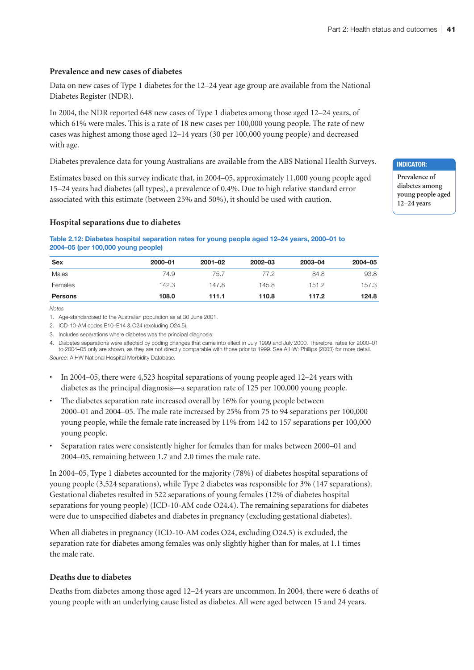#### **Prevalence and new cases of diabetes**

Data on new cases of Type 1 diabetes for the 12–24 year age group are available from the National Diabetes Register (NDR).

In 2004, the NDR reported 648 new cases of Type 1 diabetes among those aged 12–24 years, of which 61% were males. This is a rate of 18 new cases per 100,000 young people. The rate of new cases was highest among those aged 12–14 years (30 per 100,000 young people) and decreased with age.

Diabetes prevalence data for young Australians are available from the ABS National Health Surveys.

Estimates based on this survey indicate that, in 2004–05, approximately 11,000 young people aged 15–24 years had diabetes (all types), a prevalence of 0.4%. Due to high relative standard error associated with this estimate (between 25% and 50%), it should be used with caution.

#### **Hospital separations due to diabetes**

**Table 2.12: Diabetes hospital separation rates for young people aged 12–24 years, 2000–01 to 2004–05 (per 100,000 young people)**

| <b>Sex</b>     | 2000-01 | $2001 - 02$ | 2002-03 | 2003-04 | 2004-05 |
|----------------|---------|-------------|---------|---------|---------|
| Males          | 74.9    | 75.7        | 77.2    | 84.8    | 93.8    |
| Females        | 142.3   | 147.8       | 145.8   | 151.2   | 157.3   |
| <b>Persons</b> | 108.0   | 111.1       | 110.8   | 117.2   | 124.8   |

*Notes*

1. Age-standardised to the Australian population as at 30 June 2001.

2. ICD-10-AM codes E10–E14 & O24 (excluding O24.5).

3. Includes separations where diabetes was the principal diagnosis.

4. Diabetes separations were affected by coding changes that came into effect in July 1999 and July 2000. Therefore, rates for 2000–01 to 2004–05 only are shown, as they are not directly comparable with those prior to 1999. See AIHW: Phillips (2003) for more detail.

Source: AIHW National Hospital Morbidity Database.

- In 2004–05, there were 4,523 hospital separations of young people aged 12–24 years with diabetes as the principal diagnosis—a separation rate of 125 per 100,000 young people.
- The diabetes separation rate increased overall by 16% for young people between 2000–01 and 2004–05. The male rate increased by 25% from 75 to 94 separations per 100,000 young people, while the female rate increased by 11% from 142 to 157 separations per 100,000 young people.
- Separation rates were consistently higher for females than for males between 2000–01 and 2004–05, remaining between 1.7 and 2.0 times the male rate.

In 2004–05, Type 1 diabetes accounted for the majority (78%) of diabetes hospital separations of young people (3,524 separations), while Type 2 diabetes was responsible for 3% (147 separations). Gestational diabetes resulted in 522 separations of young females (12% of diabetes hospital separations for young people) (ICD-10-AM code O24.4). The remaining separations for diabetes were due to unspecified diabetes and diabetes in pregnancy (excluding gestational diabetes).

When all diabetes in pregnancy (ICD-10-AM codes O24, excluding O24.5) is excluded, the separation rate for diabetes among females was only slightly higher than for males, at 1.1 times the male rate.

#### **Deaths due to diabetes**

Deaths from diabetes among those aged 12–24 years are uncommon. In 2004, there were 6 deaths of young people with an underlying cause listed as diabetes. All were aged between 15 and 24 years.

**Indicator:**

**Prevalence of diabetes among young people aged 12–24 years**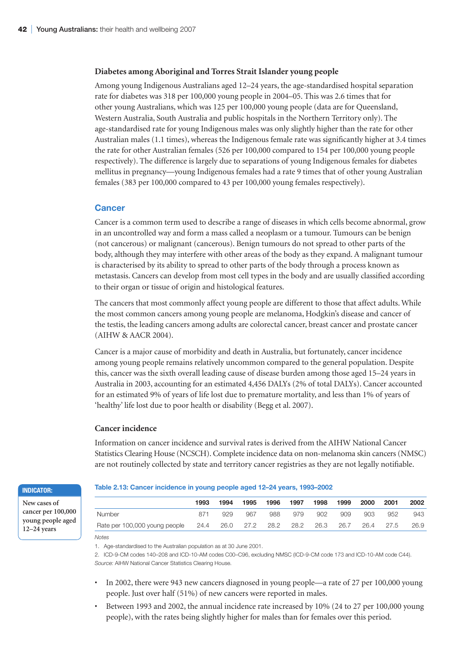#### **Diabetes among Aboriginal and Torres Strait Islander young people**

Among young Indigenous Australians aged 12–24 years, the age-standardised hospital separation rate for diabetes was 318 per 100,000 young people in 2004–05. This was 2.6 times that for other young Australians, which was 125 per 100,000 young people (data are for Queensland, Western Australia, South Australia and public hospitals in the Northern Territory only). The age-standardised rate for young Indigenous males was only slightly higher than the rate for other Australian males (1.1 times), whereas the Indigenous female rate was significantly higher at 3.4 times the rate for other Australian females (526 per 100,000 compared to 154 per 100,000 young people respectively). The difference is largely due to separations of young Indigenous females for diabetes mellitus in pregnancy—young Indigenous females had a rate 9 times that of other young Australian females (383 per 100,000 compared to 43 per 100,000 young females respectively).

#### **Cancer**

Cancer is a common term used to describe a range of diseases in which cells become abnormal, grow in an uncontrolled way and form a mass called a neoplasm or a tumour. Tumours can be benign (not cancerous) or malignant (cancerous). Benign tumours do not spread to other parts of the body, although they may interfere with other areas of the body as they expand. A malignant tumour is characterised by its ability to spread to other parts of the body through a process known as metastasis. Cancers can develop from most cell types in the body and are usually classified according to their organ or tissue of origin and histological features.

The cancers that most commonly affect young people are different to those that affect adults. While the most common cancers among young people are melanoma, Hodgkin's disease and cancer of the testis, the leading cancers among adults are colorectal cancer, breast cancer and prostate cancer (AIHW & AACR 2004).

Cancer is a major cause of morbidity and death in Australia, but fortunately, cancer incidence among young people remains relatively uncommon compared to the general population. Despite this, cancer was the sixth overall leading cause of disease burden among those aged 15–24 years in Australia in 2003, accounting for an estimated 4,456 DALYs (2% of total DALYs). Cancer accounted for an estimated 9% of years of life lost due to premature mortality, and less than 1% of years of 'healthy' life lost due to poor health or disability (Begg et al. 2007).

#### **Cancer incidence**

Information on cancer incidence and survival rates is derived from the AIHW National Cancer Statistics Clearing House (NCSCH). Complete incidence data on non-melanoma skin cancers (NMSC) are not routinely collected by state and territory cancer registries as they are not legally notifiable.

#### **Indicator:**

**New cases of cancer per 100,000 young people aged 12–24 years**

# **Table 2.13: Cancer incidence in young people aged 12–24 years, 1993–2002**

|                                                             | 1993 | 1994 | 1995 | 1996 | 1997 | 1998 | 1999 | 2000 | 2001      | 2002 |
|-------------------------------------------------------------|------|------|------|------|------|------|------|------|-----------|------|
| Number                                                      | 871  | 929  | 967  | 988  | 979  | 902  | 909  | 903  | 952       | 943  |
| Rate per 100,000 young people 24.4 26.0 27.2 28.2 28.2 26.3 |      |      |      |      |      |      | 26.7 |      | 26.4 27.5 | 26.9 |

*Notes*

2. ICD-9-CM codes 140–208 and ICD-10-AM codes C00–C96, excluding NMSC (ICD-9-CM code 173 and ICD-10-AM code C44). *Source:* AIHW National Cancer Statistics Clearing House.

- In 2002, there were 943 new cancers diagnosed in young people—a rate of 27 per 100,000 young people. Just over half (51%) of new cancers were reported in males.
- Between 1993 and 2002, the annual incidence rate increased by 10% (24 to 27 per 100,000 young people), with the rates being slightly higher for males than for females over this period.

<sup>1.</sup> Age-standardised to the Australian population as at 30 June 2001.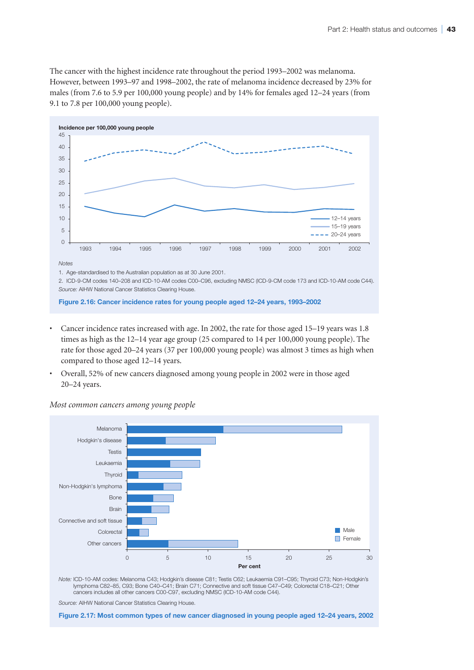The cancer with the highest incidence rate throughout the period 1993–2002 was melanoma. However, between 1993–97 and 1998–2002, the rate of melanoma incidence decreased by 23% for males (from 7.6 to 5.9 per 100,000 young people) and by 14% for females aged 12–24 years (from 9.1 to 7.8 per 100,000 young people).



*Notes*

1. Age-standardised to the Australian population as at 30 June 2001.

2. ICD-9-CM codes 140–208 and ICD-10-AM codes C00–C96, excluding NMSC (ICD-9-CM code 173 and ICD-10-AM code C44). *Source:* AIHW National Cancer Statistics Clearing House.

**Figure 2.16: Cancer incidence rates for young people aged 12–24 years, 1993–2002**

- Cancer incidence rates increased with age. In 2002, the rate for those aged 15–19 years was 1.8 times as high as the 12–14 year age group (25 compared to 14 per 100,000 young people). The rate for those aged 20–24 years (37 per 100,000 young people) was almost 3 times as high when compared to those aged 12–14 years.
- Overall, 52% of new cancers diagnosed among young people in 2002 were in those aged 20–24 years.



#### *Most common cancers among young people*

Note: ICD-10-AM codes: Melanoma C43; Hodgkin's disease C81; Testis C62; Leukaemia C91–C95; Thyroid C73; Non-Hodgkin's<br>Iymphoma C82–85, C93; Bone C40–C41; Brain C71; Connective and soft tissue C47–C49; Colorectal C18–C21; O cancers includes all other cancers C00-C97, excluding NMSC (ICD-10-AM code C44).

*Source:* AIHW National Cancer Statistics Clearing House.

**Figure 2.17: Most common types of new cancer diagnosed in young people aged 12–24 years, 2002**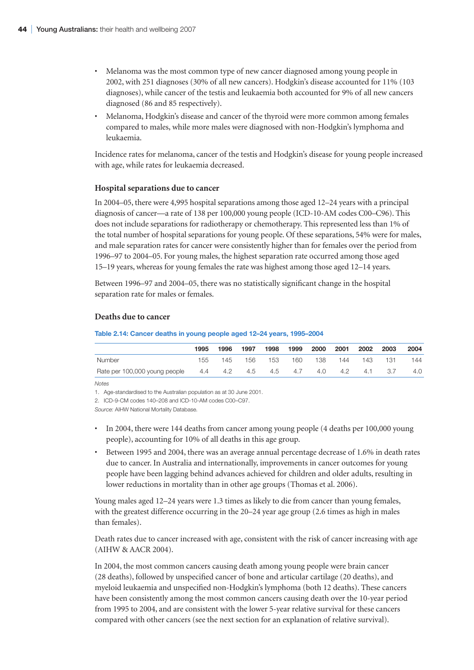- Melanoma was the most common type of new cancer diagnosed among young people in 2002, with 251 diagnoses (30% of all new cancers). Hodgkin's disease accounted for 11% (103 diagnoses), while cancer of the testis and leukaemia both accounted for 9% of all new cancers diagnosed (86 and 85 respectively).
- Melanoma, Hodgkin's disease and cancer of the thyroid were more common among females compared to males, while more males were diagnosed with non-Hodgkin's lymphoma and leukaemia.

Incidence rates for melanoma, cancer of the testis and Hodgkin's disease for young people increased with age, while rates for leukaemia decreased.

#### **Hospital separations due to cancer**

In 2004–05, there were 4,995 hospital separations among those aged 12–24 years with a principal diagnosis of cancer—a rate of 138 per 100,000 young people (ICD-10-AM codes C00–C96). This does not include separations for radiotherapy or chemotherapy. This represented less than 1% of the total number of hospital separations for young people. Of these separations, 54% were for males, and male separation rates for cancer were consistently higher than for females over the period from 1996–97 to 2004–05. For young males, the highest separation rate occurred among those aged 15–19 years, whereas for young females the rate was highest among those aged 12–14 years.

Between 1996–97 and 2004–05, there was no statistically significant change in the hospital separation rate for males or females.

#### **Deaths due to cancer**

#### **Table 2.14: Cancer deaths in young people aged 12–24 years, 1995–2004**

|                               | 1995 | 1996 | 1997    | 1998 | 1999        | 2000 | 2001 | 2002 | 2003 | 2004 |
|-------------------------------|------|------|---------|------|-------------|------|------|------|------|------|
| Number                        | 155  | 145  | 156     | 153  | 160         | 138  | 144  | 143  | 131  | 144  |
| Rate per 100,000 young people | 4.4  |      | 4.2 4.5 |      | 4.5 4.7 4.0 |      | 4.2  | 4.1  | 3.7  | 4.0  |

*Notes*

1. Age-standardised to the Australian population as at 30 June 2001.

2. ICD-9-CM codes 140–208 and ICD-10-AM codes C00–C97.

- In 2004, there were 144 deaths from cancer among young people (4 deaths per 100,000 young people), accounting for 10% of all deaths in this age group.
- Between 1995 and 2004, there was an average annual percentage decrease of 1.6% in death rates due to cancer. In Australia and internationally, improvements in cancer outcomes for young people have been lagging behind advances achieved for children and older adults, resulting in lower reductions in mortality than in other age groups (Thomas et al. 2006).

Young males aged 12–24 years were 1.3 times as likely to die from cancer than young females, with the greatest difference occurring in the 20–24 year age group (2.6 times as high in males than females).

Death rates due to cancer increased with age, consistent with the risk of cancer increasing with age (AIHW & AACR 2004).

In 2004, the most common cancers causing death among young people were brain cancer (28 deaths), followed by unspecified cancer of bone and articular cartilage (20 deaths), and myeloid leukaemia and unspecified non-Hodgkin's lymphoma (both 12 deaths). These cancers have been consistently among the most common cancers causing death over the 10-year period from 1995 to 2004, and are consistent with the lower 5-year relative survival for these cancers compared with other cancers (see the next section for an explanation of relative survival).

*Source:* AIHW National Mortality Database.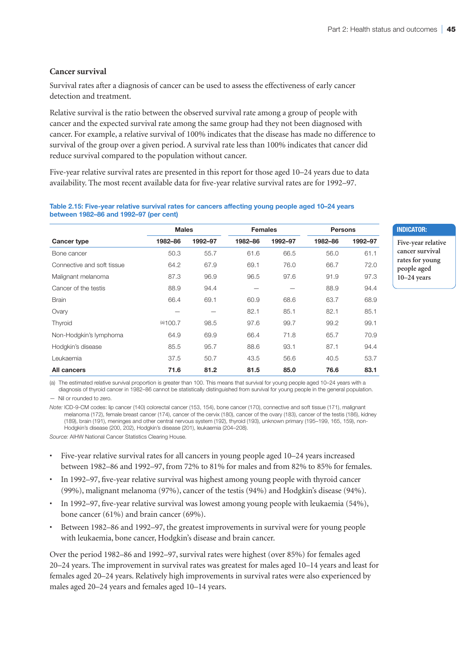#### **Cancer survival**

Survival rates after a diagnosis of cancer can be used to assess the effectiveness of early cancer detection and treatment.

Relative survival is the ratio between the observed survival rate among a group of people with cancer and the expected survival rate among the same group had they not been diagnosed with cancer. For example, a relative survival of 100% indicates that the disease has made no difference to survival of the group over a given period. A survival rate less than 100% indicates that cancer did reduce survival compared to the population without cancer.

Five-year relative survival rates are presented in this report for those aged 10–24 years due to data availability. The most recent available data for five-year relative survival rates are for 1992–97.

#### **Table 2.15: Five-year relative survival rates for cancers affecting young people aged 10–24 years between 1982–86 and 1992–97 (per cent)**

|                            | <b>Males</b> |         | <b>Females</b> |         | <b>Persons</b> |         |
|----------------------------|--------------|---------|----------------|---------|----------------|---------|
| <b>Cancer type</b>         | 1982-86      | 1992-97 | 1982-86        | 1992-97 | 1982-86        | 1992-97 |
| Bone cancer                | 50.3         | 55.7    | 61.6           | 66.5    | 56.0           | 61.1    |
| Connective and soft tissue | 64.2         | 67.9    | 69.1           | 76.0    | 66.7           | 72.0    |
| Malignant melanoma         | 87.3         | 96.9    | 96.5           | 97.6    | 91.9           | 97.3    |
| Cancer of the testis       | 88.9         | 94.4    |                |         | 88.9           | 94.4    |
| <b>Brain</b>               | 66.4         | 69.1    | 60.9           | 68.6    | 63.7           | 68.9    |
| Ovary                      |              |         | 82.1           | 85.1    | 82.1           | 85.1    |
| Thyroid                    | (a)100.7     | 98.5    | 97.6           | 99.7    | 99.2           | 99.1    |
| Non-Hodgkin's lymphoma     | 64.9         | 69.9    | 66.4           | 71.8    | 65.7           | 70.9    |
| Hodgkin's disease          | 85.5         | 95.7    | 88.6           | 93.1    | 87.1           | 94.4    |
| Leukaemia                  | 37.5         | 50.7    | 43.5           | 56.6    | 40.5           | 53.7    |
| <b>All cancers</b>         | 71.6         | 81.2    | 81.5           | 85.0    | 76.6           | 83.1    |

**Indicator: Five-year relative** 

**cancer survival rates for young people aged 10–24 years**

(a) The estimated relative survival proportion is greater than 100. This means that survival for young people aged 10–24 years with a diagnosis of thyroid cancer in 1982–86 cannot be statistically distinguished from survival for young people in the general population.

— Nil or rounded to zero.

*Note:* ICD-9-CM codes: lip cancer (140) colorectal cancer (153, 154), bone cancer (170), connective and soft tissue (171), malignant melanoma (172), female breast cancer (174), cancer of the cervix (180), cancer of the ovary (183), cancer of the testis (186), kidney (189), brain (191), meninges and other central nervous system (192), thyroid (193), unknown primary (195–199, 165, 159), non-Hodgkin's disease (200, 202), Hodgkin's disease (201), leukaemia (204–208).

*Source:* AIHW National Cancer Statistics Clearing House.

- Five-year relative survival rates for all cancers in young people aged 10–24 years increased between 1982–86 and 1992–97, from 72% to 81% for males and from 82% to 85% for females.
- In 1992–97, five-year relative survival was highest among young people with thyroid cancer (99%), malignant melanoma (97%), cancer of the testis (94%) and Hodgkin's disease (94%).
- In 1992–97, five-year relative survival was lowest among young people with leukaemia (54%), bone cancer (61%) and brain cancer (69%).
- Between 1982–86 and 1992–97, the greatest improvements in survival were for young people with leukaemia, bone cancer, Hodgkin's disease and brain cancer.

Over the period 1982–86 and 1992–97, survival rates were highest (over 85%) for females aged 20–24 years. The improvement in survival rates was greatest for males aged 10–14 years and least for females aged 20–24 years. Relatively high improvements in survival rates were also experienced by males aged 20–24 years and females aged 10–14 years.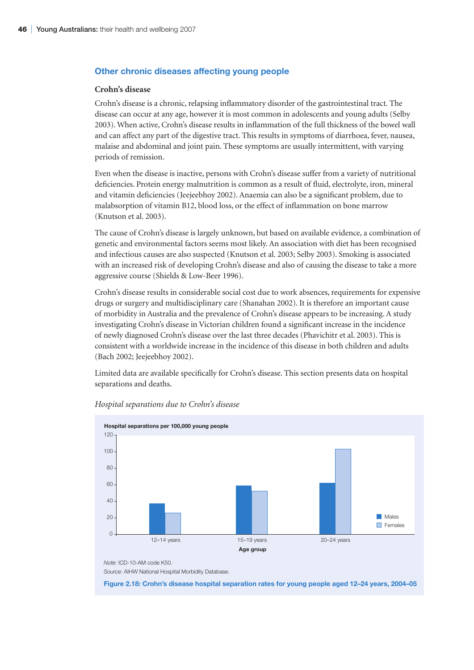#### **Other chronic diseases affecting young people**

#### **Crohn's disease**

Crohn's disease is a chronic, relapsing inflammatory disorder of the gastrointestinal tract. The disease can occur at any age, however it is most common in adolescents and young adults (Selby 2003). When active, Crohn's disease results in inflammation of the full thickness of the bowel wall and can affect any part of the digestive tract. This results in symptoms of diarrhoea, fever, nausea, malaise and abdominal and joint pain. These symptoms are usually intermittent, with varying periods of remission.

Even when the disease is inactive, persons with Crohn's disease suffer from a variety of nutritional deficiencies. Protein energy malnutrition is common as a result of fluid, electrolyte, iron, mineral and vitamin deficiencies (Jeejeebhoy 2002). Anaemia can also be a significant problem, due to malabsorption of vitamin B12, blood loss, or the effect of inflammation on bone marrow (Knutson et al. 2003).

The cause of Crohn's disease is largely unknown, but based on available evidence, a combination of genetic and environmental factors seems most likely. An association with diet has been recognised and infectious causes are also suspected (Knutson et al. 2003; Selby 2003). Smoking is associated with an increased risk of developing Crohn's disease and also of causing the disease to take a more aggressive course (Shields & Low-Beer 1996).

Crohn's disease results in considerable social cost due to work absences, requirements for expensive drugs or surgery and multidisciplinary care (Shanahan 2002). It is therefore an important cause of morbidity in Australia and the prevalence of Crohn's disease appears to be increasing. A study investigating Crohn's disease in Victorian children found a significant increase in the incidence of newly diagnosed Crohn's disease over the last three decades (Phavichitr et al. 2003). This is consistent with a worldwide increase in the incidence of this disease in both children and adults (Bach 2002; Jeejeebhoy 2002).

Limited data are available specifically for Crohn's disease. This section presents data on hospital separations and deaths.



*Hospital separations due to Crohn's disease*

*Note:* ICD-10-AM code K50.

Source: AIHW National Hospital Morbidity Database.

**Figure 2.18: Crohn's disease hospital separation rates for young people aged 12–24 years, 2004–05**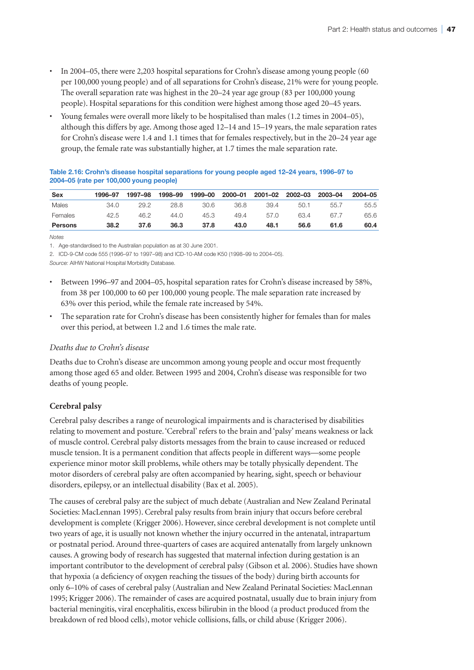- In 2004–05, there were 2,203 hospital separations for Crohn's disease among young people (60 per 100,000 young people) and of all separations for Crohn's disease, 21% were for young people. The overall separation rate was highest in the 20–24 year age group (83 per 100,000 young people). Hospital separations for this condition were highest among those aged 20–45 years.
- Young females were overall more likely to be hospitalised than males (1.2 times in 2004–05), although this differs by age. Among those aged 12–14 and 15–19 years, the male separation rates for Crohn's disease were 1.4 and 1.1 times that for females respectively, but in the 20–24 year age group, the female rate was substantially higher, at 1.7 times the male separation rate.

**Table 2.16: Crohn's disease hospital separations for young people aged 12–24 years, 1996–97 to 2004–05 (rate per 100,000 young people)**

| Sex            | 1996–97 | 1997–98 | 1998-99 | 1999-00 | 2000-01 | 2001-02 | 2002-03 | 2003-04 | 2004-05 |
|----------------|---------|---------|---------|---------|---------|---------|---------|---------|---------|
| Males          | 34.0    | 29.2    | 28.8    | 30.6    | 36.8    | 39.4    | 50.1    | 55.7    | 55.5    |
| Females        | 42.5    | 46.2    | 44.0    | 45.3    | 49.4    | 57.0    | 63.4    | 67.7    | 65.6    |
| <b>Persons</b> | 38.2    | 37.6    | 36.3    | 37.8    | 43.0    | 48.1    | 56.6    | 61.6    | 60.4    |

*Notes*

1. Age-standardised to the Australian population as at 30 June 2001.

2. ICD-9-CM code 555 (1996–97 to 1997–98) and ICD-10-AM code K50 (1998–99 to 2004–05).

*Source:* AIHW National Hospital Morbidity Database.

- Between 1996–97 and 2004–05, hospital separation rates for Crohn's disease increased by 58%, from 38 per 100,000 to 60 per 100,000 young people. The male separation rate increased by 63% over this period, while the female rate increased by 54%.
- The separation rate for Crohn's disease has been consistently higher for females than for males over this period, at between 1.2 and 1.6 times the male rate.

#### *Deaths due to Crohn's disease*

Deaths due to Crohn's disease are uncommon among young people and occur most frequently among those aged 65 and older. Between 1995 and 2004, Crohn's disease was responsible for two deaths of young people.

#### **Cerebral palsy**

Cerebral palsy describes a range of neurological impairments and is characterised by disabilities relating to movement and posture. 'Cerebral' refers to the brain and 'palsy' means weakness or lack of muscle control. Cerebral palsy distorts messages from the brain to cause increased or reduced muscle tension. It is a permanent condition that affects people in different ways—some people experience minor motor skill problems, while others may be totally physically dependent. The motor disorders of cerebral palsy are often accompanied by hearing, sight, speech or behaviour disorders, epilepsy, or an intellectual disability (Bax et al. 2005).

The causes of cerebral palsy are the subject of much debate (Australian and New Zealand Perinatal Societies: MacLennan 1995). Cerebral palsy results from brain injury that occurs before cerebral development is complete (Krigger 2006). However, since cerebral development is not complete until two years of age, it is usually not known whether the injury occurred in the antenatal, intrapartum or postnatal period. Around three-quarters of cases are acquired antenatally from largely unknown causes. A growing body of research has suggested that maternal infection during gestation is an important contributor to the development of cerebral palsy (Gibson et al. 2006). Studies have shown that hypoxia (a deficiency of oxygen reaching the tissues of the body) during birth accounts for only 6–10% of cases of cerebral palsy (Australian and New Zealand Perinatal Societies: MacLennan 1995; Krigger 2006). The remainder of cases are acquired postnatal, usually due to brain injury from bacterial meningitis, viral encephalitis, excess bilirubin in the blood (a product produced from the breakdown of red blood cells), motor vehicle collisions, falls, or child abuse (Krigger 2006).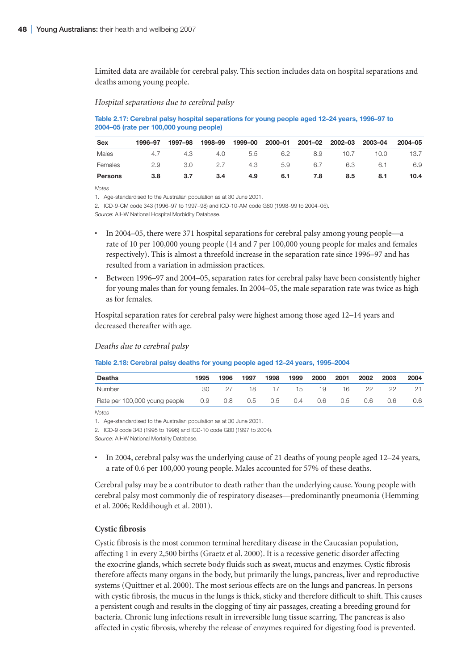Limited data are available for cerebral palsy. This section includes data on hospital separations and deaths among young people.

#### *Hospital separations due to cerebral palsy*

**Table 2.17: Cerebral palsy hospital separations for young people aged 12–24 years, 1996–97 to 2004–05 (rate per 100,000 young people)**

| <b>Sex</b>     | 1996-97 | 1997–98 | 1998-99 | 1999-00 | 2000-01 | 2001-02 | 2002-03 | 2003-04 | 2004-05 |
|----------------|---------|---------|---------|---------|---------|---------|---------|---------|---------|
| Males          | 4.7     | 4.3     | 4.0     | 5.5     | 6.2     | 8.9     | 10.7    | 10.0    | 13.7    |
| Females        | 2.9     | 3.0     | 2.7     | 4.3     | 5.9     | 6.7     | 6.3     | 6.1     | 6.9     |
| <b>Persons</b> | 3.8     | 3.7     | 3.4     | 4.9     | 6.1     | 7.8     | 8.5     | 8.1     | 10.4    |

*Notes*

1. Age-standardised to the Australian population as at 30 June 2001.

2. ICD-9-CM code 343 (1996–97 to 1997–98) and ICD-10-AM code G80 (1998–99 to 2004–05).

*Source:* AIHW National Hospital Morbidity Database.

- In 2004–05, there were 371 hospital separations for cerebral palsy among young people—a rate of 10 per 100,000 young people (14 and 7 per 100,000 young people for males and females respectively). This is almost a threefold increase in the separation rate since 1996–97 and has resulted from a variation in admission practices.
- Between 1996–97 and 2004–05, separation rates for cerebral palsy have been consistently higher for young males than for young females. In 2004–05, the male separation rate was twice as high as for females.

Hospital separation rates for cerebral palsy were highest among those aged 12–14 years and decreased thereafter with age.

#### *Deaths due to cerebral palsy*

#### **Table 2.18: Cerebral palsy deaths for young people aged 12–24 years, 1995–2004**

| <b>Deaths</b>                 | 1995 | 1996              | 1997 | 1998 | 1999 | 2000        | 2001 | 2002 | 2003 | 2004 |
|-------------------------------|------|-------------------|------|------|------|-------------|------|------|------|------|
| Number                        | 30   |                   | 18   | 17   | 15   | -19         | 16.  | 22.  | 22   |      |
| Rate per 100,000 young people | 0.9  | $\sim$ 0.8 $\sim$ | 0.5  |      |      | 0.5 0.4 0.6 | 0.5  | 0.6  | 0.6  | 0.6  |

*Notes*

1. Age-standardised to the Australian population as at 30 June 2001.

2. ICD-9 code 343 (1995 to 1996) and ICD-10 code G80 (1997 to 2004).

*Source:* AIHW National Mortality Database.

• In 2004, cerebral palsy was the underlying cause of 21 deaths of young people aged 12–24 years, a rate of 0.6 per 100,000 young people. Males accounted for 57% of these deaths.

Cerebral palsy may be a contributor to death rather than the underlying cause. Young people with cerebral palsy most commonly die of respiratory diseases—predominantly pneumonia (Hemming et al. 2006; Reddihough et al. 2001).

#### **Cystic fibrosis**

Cystic fibrosis is the most common terminal hereditary disease in the Caucasian population, affecting 1 in every 2,500 births (Graetz et al. 2000). It is a recessive genetic disorder affecting the exocrine glands, which secrete body fluids such as sweat, mucus and enzymes. Cystic fibrosis therefore affects many organs in the body, but primarily the lungs, pancreas, liver and reproductive systems (Quittner et al. 2000). The most serious effects are on the lungs and pancreas. In persons with cystic fibrosis, the mucus in the lungs is thick, sticky and therefore difficult to shift. This causes a persistent cough and results in the clogging of tiny air passages, creating a breeding ground for bacteria. Chronic lung infections result in irreversible lung tissue scarring. The pancreas is also affected in cystic fibrosis, whereby the release of enzymes required for digesting food is prevented.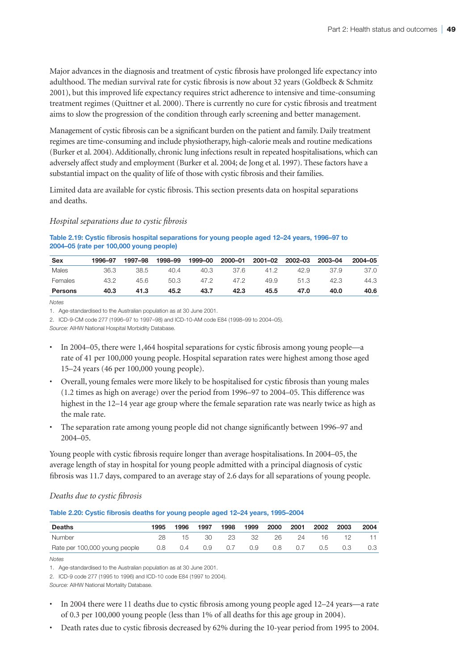Major advances in the diagnosis and treatment of cystic fibrosis have prolonged life expectancy into adulthood. The median survival rate for cystic fibrosis is now about 32 years (Goldbeck & Schmitz 2001), but this improved life expectancy requires strict adherence to intensive and time-consuming treatment regimes (Quittner et al. 2000). There is currently no cure for cystic fibrosis and treatment aims to slow the progression of the condition through early screening and better management.

Management of cystic fibrosis can be a significant burden on the patient and family. Daily treatment regimes are time-consuming and include physiotherapy, high-calorie meals and routine medications (Burker et al. 2004). Additionally, chronic lung infections result in repeated hospitalisations, which can adversely affect study and employment (Burker et al. 2004; de Jong et al. 1997). These factors have a substantial impact on the quality of life of those with cystic fibrosis and their families.

Limited data are available for cystic fibrosis. This section presents data on hospital separations and deaths.

#### *Hospital separations due to cystic fibrosis*

#### **Table 2.19: Cystic fibrosis hospital separations for young people aged 12–24 years, 1996–97 to 2004–05 (rate per 100,000 young people)**

| <b>Sex</b> | 1996-97 | 1997–98 | 1998-99 | 1999-00 | 2000-01 | 2001-02 | 2002-03 | 2003-04 | 2004-05 |
|------------|---------|---------|---------|---------|---------|---------|---------|---------|---------|
| Males      | 36.3    | 38.5    | 40.4    | 40.3    | -37.6   | 41.2    | 42.9    | 37.9    | 37.0    |
| Females    | 43.2    | 45.6    | 50.3    | 47.2    | 47.2    | 49.9    | 51.3    | 42.3    | 44.3    |
| Persons    | 40.3    | 41.3    | 45.2    | 43.7    | 42.3    | 45.5    | 47.0    | 40.0    | 40.6    |

*Notes*

1. Age-standardised to the Australian population as at 30 June 2001.

2. ICD-9-CM code 277 (1996–97 to 1997–98) and ICD-10-AM code E84 (1998–99 to 2004–05).

*Source:* AIHW National Hospital Morbidity Database.

- In 2004–05, there were 1,464 hospital separations for cystic fibrosis among young people—a rate of 41 per 100,000 young people. Hospital separation rates were highest among those aged 15–24 years (46 per 100,000 young people).
- Overall, young females were more likely to be hospitalised for cystic fibrosis than young males (1.2 times as high on average) over the period from 1996–97 to 2004–05. This difference was highest in the 12–14 year age group where the female separation rate was nearly twice as high as the male rate.
- The separation rate among young people did not change significantly between 1996–97 and 2004–05.

Young people with cystic fibrosis require longer than average hospitalisations. In 2004–05, the average length of stay in hospital for young people admitted with a principal diagnosis of cystic fibrosis was 11.7 days, compared to an average stay of 2.6 days for all separations of young people.

#### *Deaths due to cystic fibrosis*

#### **Table 2.20: Cystic fibrosis deaths for young people aged 12–24 years, 1995–2004**

| <b>Deaths</b>                 | 1995 | 1996 | 1997 | 1998 | 1999 | 2000 | 2001 | 2002 | 2003 | 2004 |
|-------------------------------|------|------|------|------|------|------|------|------|------|------|
| Number                        | 28   |      | 30   | 23   | 32   | 26   | 24   | 16   | 12   |      |
| Rate per 100,000 young people | 0.8  | 0.4  | 0.9  | 0.7  | 0.9  | 0.8  | V.7  | 0.5  | 0.3  |      |

*Notes*

1. Age-standardised to the Australian population as at 30 June 2001.

2. ICD-9 code 277 (1995 to 1996) and ICD-10 code E84 (1997 to 2004).

*Source:* AIHW National Mortality Database.

- In 2004 there were 11 deaths due to cystic fibrosis among young people aged 12–24 years—a rate of 0.3 per 100,000 young people (less than 1% of all deaths for this age group in 2004).
- Death rates due to cystic fibrosis decreased by 62% during the 10-year period from 1995 to 2004.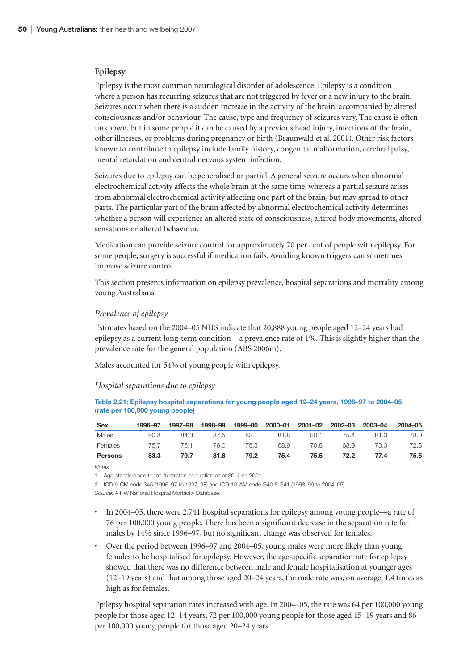#### **Epilepsy**

Epilepsy is the most common neurological disorder of adolescence. Epilepsy is a condition where a person has recurring seizures that are not triggered by fever or a new injury to the brain. Seizures occur when there is a sudden increase in the activity of the brain, accompanied by altered consciousness and/or behaviour. The cause, type and frequency of seizures vary. The cause is often unknown, but in some people it can be caused by a previous head injury, infections of the brain, other illnesses, or problems during pregnancy or birth (Braunwald et al. 2001). Other risk factors known to contribute to epilepsy include family history, congenital malformation, cerebral palsy, mental retardation and central nervous system infection.

Seizures due to epilepsy can be generalised or partial. A general seizure occurs when abnormal electrochemical activity affects the whole brain at the same time, whereas a partial seizure arises from abnormal electrochemical activity affecting one part of the brain, but may spread to other parts. The particular part of the brain affected by abnormal electrochemical activity determines whether a person will experience an altered state of consciousness, altered body movements, altered sensations or altered behaviour.

Medication can provide seizure control for approximately 70 per cent of people with epilepsy. For some people, surgery is successful if medication fails. Avoiding known triggers can sometimes improve seizure control.

This section presents information on epilepsy prevalence, hospital separations and mortality among young Australians.

#### *Prevalence of epilepsy*

Estimates based on the 2004–05 NHS indicate that 20,888 young people aged 12–24 years had epilepsy as a current long-term condition—a prevalence rate of 1%. This is slightly higher than the prevalence rate for the general population (ABS 2006m).

Males accounted for 54% of young people with epilepsy.

#### *Hospital separations due to epilepsy*

| Table 2.21: Epilepsy hospital separations for young people aged 12–24 years, 1996–97 to 2004–05 |  |  |
|-------------------------------------------------------------------------------------------------|--|--|
| (rate per 100,000 young people)                                                                 |  |  |

| Sex     | 1996-97 | 1997–98 | 1998-99 | 1999-00 |      | 2000-01 2001-02 2002-03 |      | 2003-04 | 2004-05 |
|---------|---------|---------|---------|---------|------|-------------------------|------|---------|---------|
| Males   | 90.8    | 84.3    | 87.5    | 83.1    | 81.8 | 80.1                    | 75.4 | 81.3    | 78.0    |
| Females | 75.7    | 75.1    | 76.0    | 75.3    | 68.9 | 70.8                    | 68.9 | 73.3    | 72.8    |
| Persons | 83.3    | 79.7    | 81.8    | 79.2    | 75.4 | 75.5                    | 72.2 | 77.4    | 75.5    |

*Notes*

1. Age-standardised to the Australian population as at 30 June 2001.

2. ICD-9-CM code 345 (1996–97 to 1997–98) and ICD-10-AM code G40 & G41 (1998–99 to 2004–05).

*Source:* AIHW National Hospital Morbidity Database.

- In 2004–05, there were 2,741 hospital separations for epilepsy among young people—a rate of 76 per 100,000 young people. There has been a significant decrease in the separation rate for males by 14% since 1996–97, but no significant change was observed for females.
- Over the period between 1996–97 and 2004–05, young males were more likely than young females to be hospitalised for epilepsy. However, the age-specific separation rate for epilepsy showed that there was no difference between male and female hospitalisation at younger ages (12–19 years) and that among those aged 20–24 years, the male rate was, on average, 1.4 times as high as for females.

Epilepsy hospital separation rates increased with age. In 2004–05, the rate was 64 per 100,000 young people for those aged 12–14 years, 72 per 100,000 young people for those aged 15–19 years and 86 per 100,000 young people for those aged 20–24 years.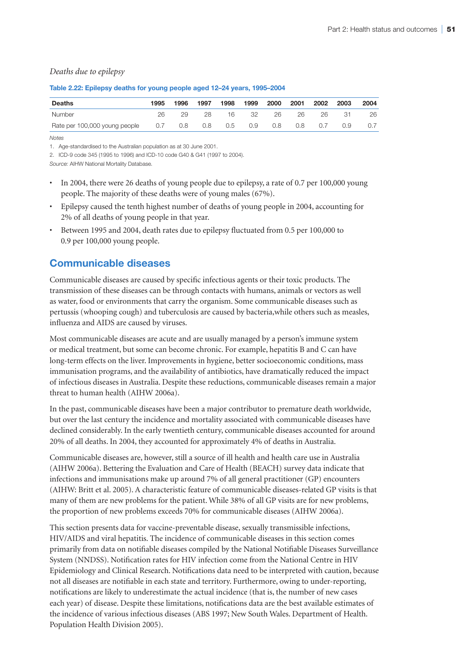#### *Deaths due to epilepsy*

| Deaths                        | 1995 | 1996 | 1997 | 1998 | 1999              | 2000 | 2001 | 2002 | 2003 | 2004 |
|-------------------------------|------|------|------|------|-------------------|------|------|------|------|------|
| <b>Number</b>                 | 26   |      | 28   | 16   | -32               | 26   | 26   | 26   | -31  | 26   |
| Rate per 100,000 young people | 0.7  | 0.8  | 0.8  | 0.5  | $\sim$ 0.9 $\sim$ | 0.8  | 0.8  | 0.7  | 0.9  |      |

#### **Table 2.22: Epilepsy deaths for young people aged 12–24 years, 1995–2004**

*Notes*

1. Age-standardised to the Australian population as at 30 June 2001.

2. ICD-9 code 345 (1995 to 1996) and ICD-10 code G40 & G41 (1997 to 2004).

*Source:* AIHW National Mortality Database.

- In 2004, there were 26 deaths of young people due to epilepsy, a rate of 0.7 per 100,000 young people. The majority of these deaths were of young males (67%).
- Epilepsy caused the tenth highest number of deaths of young people in 2004, accounting for 2% of all deaths of young people in that year.
- Between 1995 and 2004, death rates due to epilepsy fluctuated from 0.5 per 100,000 to 0.9 per 100,000 young people.

# **Communicable diseases**

Communicable diseases are caused by specific infectious agents or their toxic products. The transmission of these diseases can be through contacts with humans, animals or vectors as well as water, food or environments that carry the organism. Some communicable diseases such as pertussis (whooping cough) and tuberculosis are caused by bacteria,while others such as measles, influenza and AIDS are caused by viruses.

Most communicable diseases are acute and are usually managed by a person's immune system or medical treatment, but some can become chronic. For example, hepatitis B and C can have long-term effects on the liver. Improvements in hygiene, better socioeconomic conditions, mass immunisation programs, and the availability of antibiotics, have dramatically reduced the impact of infectious diseases in Australia. Despite these reductions, communicable diseases remain a major threat to human health (AIHW 2006a).

In the past, communicable diseases have been a major contributor to premature death worldwide, but over the last century the incidence and mortality associated with communicable diseases have declined considerably. In the early twentieth century, communicable diseases accounted for around 20% of all deaths. In 2004, they accounted for approximately 4% of deaths in Australia.

Communicable diseases are, however, still a source of ill health and health care use in Australia (AIHW 2006a). Bettering the Evaluation and Care of Health (BEACH) survey data indicate that infections and immunisations make up around 7% of all general practitioner (GP) encounters (AIHW: Britt et al. 2005). A characteristic feature of communicable diseases-related GP visits is that many of them are new problems for the patient. While 38% of all GP visits are for new problems, the proportion of new problems exceeds 70% for communicable diseases (AIHW 2006a).

This section presents data for vaccine-preventable disease, sexually transmissible infections, HIV/AIDS and viral hepatitis. The incidence of communicable diseases in this section comes primarily from data on notifiable diseases compiled by the National Notifiable Diseases Surveillance System (NNDSS). Notification rates for HIV infection come from the National Centre in HIV Epidemiology and Clinical Research. Notifications data need to be interpreted with caution, because not all diseases are notifiable in each state and territory. Furthermore, owing to under-reporting, notifications are likely to underestimate the actual incidence (that is, the number of new cases each year) of disease. Despite these limitations, notifications data are the best available estimates of the incidence of various infectious diseases (ABS 1997; New South Wales. Department of Health. Population Health Division 2005).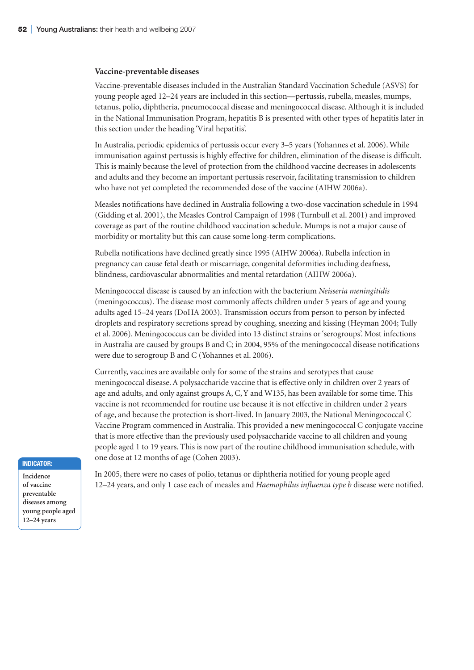#### **Vaccine-preventable diseases**

Vaccine-preventable diseases included in the Australian Standard Vaccination Schedule (ASVS) for young people aged 12–24 years are included in this section—pertussis, rubella, measles, mumps, tetanus, polio, diphtheria, pneumococcal disease and meningococcal disease. Although it is included in the National Immunisation Program, hepatitis B is presented with other types of hepatitis later in this section under the heading 'Viral hepatitis'.

In Australia, periodic epidemics of pertussis occur every 3–5 years (Yohannes et al. 2006). While immunisation against pertussis is highly effective for children, elimination of the disease is difficult. This is mainly because the level of protection from the childhood vaccine decreases in adolescents and adults and they become an important pertussis reservoir, facilitating transmission to children who have not yet completed the recommended dose of the vaccine (AIHW 2006a).

Measles notifications have declined in Australia following a two-dose vaccination schedule in 1994 (Gidding et al. 2001), the Measles Control Campaign of 1998 (Turnbull et al. 2001) and improved coverage as part of the routine childhood vaccination schedule. Mumps is not a major cause of morbidity or mortality but this can cause some long-term complications.

Rubella notifications have declined greatly since 1995 (AIHW 2006a). Rubella infection in pregnancy can cause fetal death or miscarriage, congenital deformities including deafness, blindness, cardiovascular abnormalities and mental retardation (AIHW 2006a).

Meningococcal disease is caused by an infection with the bacterium *Neisseria meningitidis* (meningococcus). The disease most commonly affects children under 5 years of age and young adults aged 15–24 years (DoHA 2003). Transmission occurs from person to person by infected droplets and respiratory secretions spread by coughing, sneezing and kissing (Heyman 2004; Tully et al. 2006). Meningococcus can be divided into 13 distinct strains or 'serogroups'. Most infections in Australia are caused by groups B and C; in 2004, 95% of the meningococcal disease notifications were due to serogroup B and C (Yohannes et al. 2006).

Currently, vaccines are available only for some of the strains and serotypes that cause meningococcal disease. A polysaccharide vaccine that is effective only in children over 2 years of age and adults, and only against groups A, C, Y and W135, has been available for some time. This vaccine is not recommended for routine use because it is not effective in children under 2 years of age, and because the protection is short-lived. In January 2003, the National Meningococcal C Vaccine Program commenced in Australia. This provided a new meningococcal C conjugate vaccine that is more effective than the previously used polysaccharide vaccine to all children and young people aged 1 to 19 years. This is now part of the routine childhood immunisation schedule, with one dose at 12 months of age (Cohen 2003).

#### **Indicator:**

**Incidence of vaccine preventable diseases among young people aged 12–24 years**

In 2005, there were no cases of polio, tetanus or diphtheria notified for young people aged 12–24 years, and only 1 case each of measles and *Haemophilus influenza type b* disease were notified.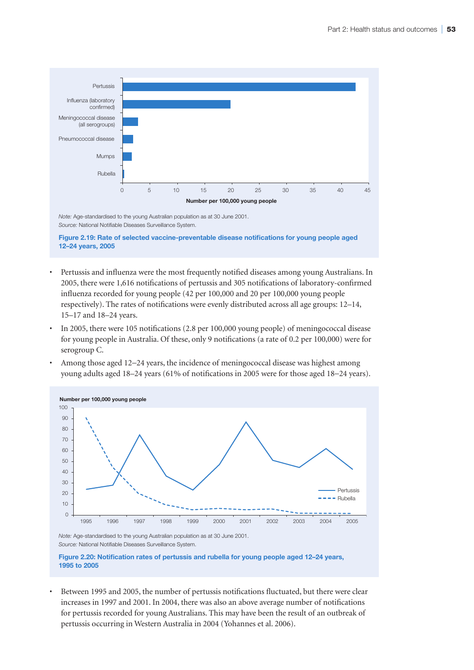

**Figure 2.19: Rate of selected vaccine-preventable disease notifications for young people aged 12–24 years, 2005**

- Pertussis and influenza were the most frequently notified diseases among young Australians. In 2005, there were 1,616 notifications of pertussis and 305 notifications of laboratory-confirmed influenza recorded for young people (42 per 100,000 and 20 per 100,000 young people respectively). The rates of notifications were evenly distributed across all age groups: 12–14, 15–17 and 18–24 years.
- In 2005, there were 105 notifications (2.8 per 100,000 young people) of meningococcal disease for young people in Australia. Of these, only 9 notifications (a rate of 0.2 per 100,000) were for serogroup C.
- Among those aged 12−24 years, the incidence of meningococcal disease was highest among young adults aged 18–24 years (61% of notifications in 2005 were for those aged 18−24 years).



*Note:* Age-standardised to the young Australian population as at 30 June 2001. *Source:* National Notifiable Diseases Surveillance System.

**Figure 2.20: Notification rates of pertussis and rubella for young people aged 12–24 years, 1995 to 2005**

• Between 1995 and 2005, the number of pertussis notifications fluctuated, but there were clear increases in 1997 and 2001. In 2004, there was also an above average number of notifications for pertussis recorded for young Australians. This may have been the result of an outbreak of pertussis occurring in Western Australia in 2004 (Yohannes et al. 2006).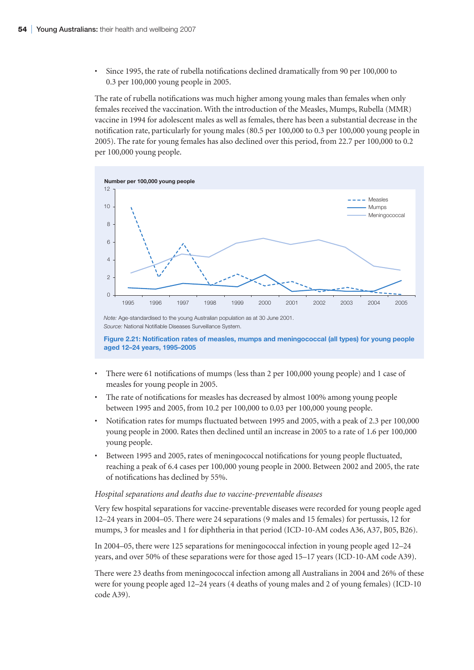• Since 1995, the rate of rubella notifications declined dramatically from 90 per 100,000 to 0.3 per 100,000 young people in 2005.

The rate of rubella notifications was much higher among young males than females when only females received the vaccination. With the introduction of the Measles, Mumps, Rubella (MMR) vaccine in 1994 for adolescent males as well as females, there has been a substantial decrease in the notification rate, particularly for young males (80.5 per 100,000 to 0.3 per 100,000 young people in 2005). The rate for young females has also declined over this period, from 22.7 per 100,000 to 0.2 per 100,000 young people.



*Note:* Age-standardised to the young Australian population as at 30 June 2001. *Source:* National Notifiable Diseases Surveillance System.

**Figure 2.21: Notification rates of measles, mumps and meningococcal (all types) for young people aged 12–24 years, 1995–2005**

- There were 61 notifications of mumps (less than 2 per 100,000 young people) and 1 case of measles for young people in 2005.
- The rate of notifications for measles has decreased by almost 100% among young people between 1995 and 2005, from 10.2 per 100,000 to 0.03 per 100,000 young people.
- Notification rates for mumps fluctuated between 1995 and 2005, with a peak of 2.3 per 100,000 young people in 2000. Rates then declined until an increase in 2005 to a rate of 1.6 per 100,000 young people.
- Between 1995 and 2005, rates of meningococcal notifications for young people fluctuated, reaching a peak of 6.4 cases per 100,000 young people in 2000. Between 2002 and 2005, the rate of notifications has declined by 55%.

#### *Hospital separations and deaths due to vaccine-preventable diseases*

Very few hospital separations for vaccine-preventable diseases were recorded for young people aged 12–24 years in 2004–05. There were 24 separations (9 males and 15 females) for pertussis, 12 for mumps, 3 for measles and 1 for diphtheria in that period (ICD-10-AM codes A36, A37, B05, B26).

In 2004–05, there were 125 separations for meningococcal infection in young people aged 12–24 years, and over 50% of these separations were for those aged 15–17 years (ICD-10-AM code A39).

There were 23 deaths from meningococcal infection among all Australians in 2004 and 26% of these were for young people aged 12–24 years (4 deaths of young males and 2 of young females) (ICD-10 code A39).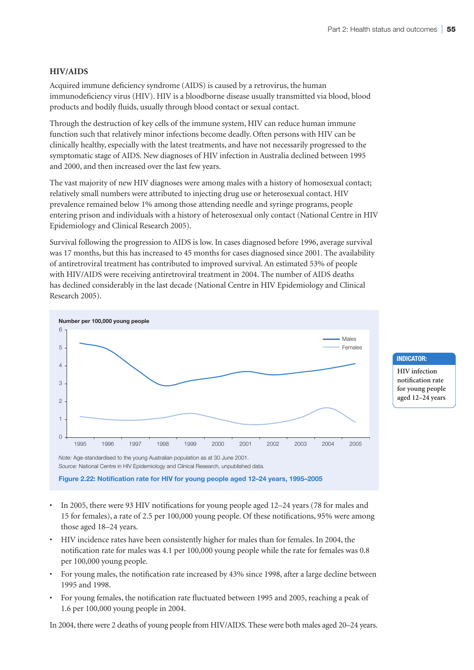#### **HIV/AIDS**

Acquired immune deficiency syndrome (AIDS) is caused by a retrovirus, the human immunodeficiency virus (HIV). HIV is a bloodborne disease usually transmitted via blood, blood products and bodily fluids, usually through blood contact or sexual contact.

Through the destruction of key cells of the immune system, HIV can reduce human immune function such that relatively minor infections become deadly. Often persons with HIV can be clinically healthy, especially with the latest treatments, and have not necessarily progressed to the symptomatic stage of AIDS. New diagnoses of HIV infection in Australia declined between 1995 and 2000, and then increased over the last few years.

The vast majority of new HIV diagnoses were among males with a history of homosexual contact; relatively small numbers were attributed to injecting drug use or heterosexual contact. HIV prevalence remained below 1% among those attending needle and syringe programs, people entering prison and individuals with a history of heterosexual only contact (National Centre in HIV Epidemiology and Clinical Research 2005).

Survival following the progression to AIDS is low. In cases diagnosed before 1996, average survival was 17 months, but this has increased to 45 months for cases diagnosed since 2001. The availability of antiretroviral treatment has contributed to improved survival. An estimated 53% of people with HIV/AIDS were receiving antiretroviral treatment in 2004. The number of AIDS deaths has declined considerably in the last decade (National Centre in HIV Epidemiology and Clinical Research 2005).



*Note:* Age-standardised to the young Australian population as at 30 June 2001. *Source:* National Centre in HIV Epidemiology and Clinical Research, unpublished data.

**Figure 2.22: Notification rate for HIV for young people aged 12–24 years, 1995–2005**

- In 2005, there were 93 HIV notifications for young people aged 12–24 years (78 for males and 15 for females), a rate of 2.5 per 100,000 young people. Of these notifications, 95% were among those aged 18–24 years.
- HIV incidence rates have been consistently higher for males than for females. In 2004, the notification rate for males was 4.1 per 100,000 young people while the rate for females was 0.8 per 100,000 young people.
- For young males, the notification rate increased by 43% since 1998, after a large decline between 1995 and 1998.
- For young females, the notification rate fluctuated between 1995 and 2005, reaching a peak of 1.6 per 100,000 young people in 2004.

In 2004, there were 2 deaths of young people from HIV/AIDS. These were both males aged 20–24 years.

#### **Indicator:**

**HIV infection notification rate for young people aged 12–24 years**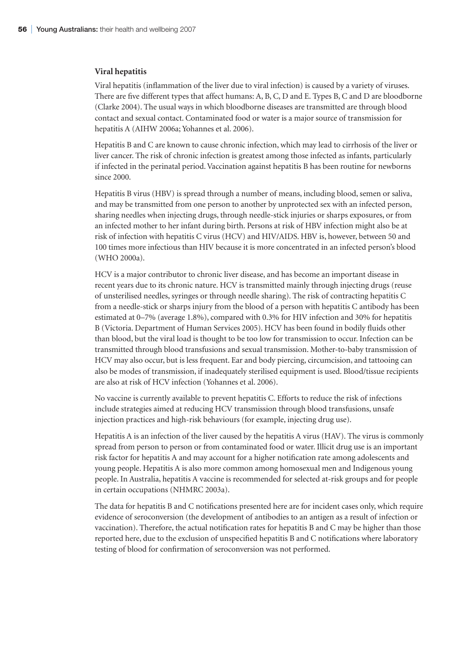#### **Viral hepatitis**

Viral hepatitis (inflammation of the liver due to viral infection) is caused by a variety of viruses. There are five different types that affect humans: A, B, C, D and E. Types B, C and D are bloodborne (Clarke 2004). The usual ways in which bloodborne diseases are transmitted are through blood contact and sexual contact. Contaminated food or water is a major source of transmission for hepatitis A (AIHW 2006a; Yohannes et al. 2006).

Hepatitis B and C are known to cause chronic infection, which may lead to cirrhosis of the liver or liver cancer. The risk of chronic infection is greatest among those infected as infants, particularly if infected in the perinatal period. Vaccination against hepatitis B has been routine for newborns since 2000.

Hepatitis B virus (HBV) is spread through a number of means, including blood, semen or saliva, and may be transmitted from one person to another by unprotected sex with an infected person, sharing needles when injecting drugs, through needle-stick injuries or sharps exposures, or from an infected mother to her infant during birth. Persons at risk of HBV infection might also be at risk of infection with hepatitis C virus (HCV) and HIV/AIDS. HBV is, however, between 50 and 100 times more infectious than HIV because it is more concentrated in an infected person's blood (WHO 2000a).

HCV is a major contributor to chronic liver disease, and has become an important disease in recent years due to its chronic nature. HCV is transmitted mainly through injecting drugs (reuse of unsterilised needles, syringes or through needle sharing). The risk of contracting hepatitis C from a needle-stick or sharps injury from the blood of a person with hepatitis C antibody has been estimated at 0–7% (average 1.8%), compared with 0.3% for HIV infection and 30% for hepatitis B (Victoria. Department of Human Services 2005). HCV has been found in bodily fluids other than blood, but the viral load is thought to be too low for transmission to occur. Infection can be transmitted through blood transfusions and sexual transmission. Mother-to-baby transmission of HCV may also occur, but is less frequent. Ear and body piercing, circumcision, and tattooing can also be modes of transmission, if inadequately sterilised equipment is used. Blood/tissue recipients are also at risk of HCV infection (Yohannes et al. 2006).

No vaccine is currently available to prevent hepatitis C. Efforts to reduce the risk of infections include strategies aimed at reducing HCV transmission through blood transfusions, unsafe injection practices and high-risk behaviours (for example, injecting drug use).

Hepatitis A is an infection of the liver caused by the hepatitis A virus (HAV). The virus is commonly spread from person to person or from contaminated food or water. Illicit drug use is an important risk factor for hepatitis A and may account for a higher notification rate among adolescents and young people. Hepatitis A is also more common among homosexual men and Indigenous young people. In Australia, hepatitis A vaccine is recommended for selected at-risk groups and for people in certain occupations (NHMRC 2003a).

The data for hepatitis B and C notifications presented here are for incident cases only, which require evidence of seroconversion (the development of antibodies to an antigen as a result of infection or vaccination). Therefore, the actual notification rates for hepatitis B and C may be higher than those reported here, due to the exclusion of unspecified hepatitis B and C notifications where laboratory testing of blood for confirmation of seroconversion was not performed.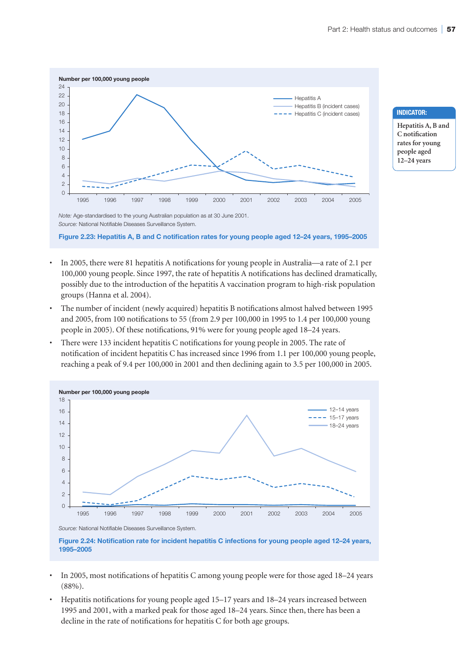

**Indicator:**

**Hepatitis A, B and C notification rates for young people aged 12–24 years**

*Source:* National Notifiable Diseases Surveillance System.

**Figure 2.23: Hepatitis A, B and C notification rates for young people aged 12–24 years, 1995–2005**

- In 2005, there were 81 hepatitis A notifications for young people in Australia—a rate of 2.1 per 100,000 young people. Since 1997, the rate of hepatitis A notifications has declined dramatically, possibly due to the introduction of the hepatitis A vaccination program to high-risk population groups (Hanna et al. 2004).
- The number of incident (newly acquired) hepatitis B notifications almost halved between 1995 and 2005, from 100 notifications to 55 (from 2.9 per 100,000 in 1995 to 1.4 per 100,000 young people in 2005). Of these notifications, 91% were for young people aged 18–24 years.
- There were 133 incident hepatitis C notifications for young people in 2005. The rate of notification of incident hepatitis C has increased since 1996 from 1.1 per 100,000 young people, reaching a peak of 9.4 per 100,000 in 2001 and then declining again to 3.5 per 100,000 in 2005.





**Figure 2.24: Notification rate for incident hepatitis C infections for young people aged 12–24 years, 1995–2005**

- In 2005, most notifications of hepatitis C among young people were for those aged 18–24 years (88%).
- Hepatitis notifications for young people aged 15–17 years and 18–24 years increased between 1995 and 2001, with a marked peak for those aged 18–24 years. Since then, there has been a decline in the rate of notifications for hepatitis C for both age groups.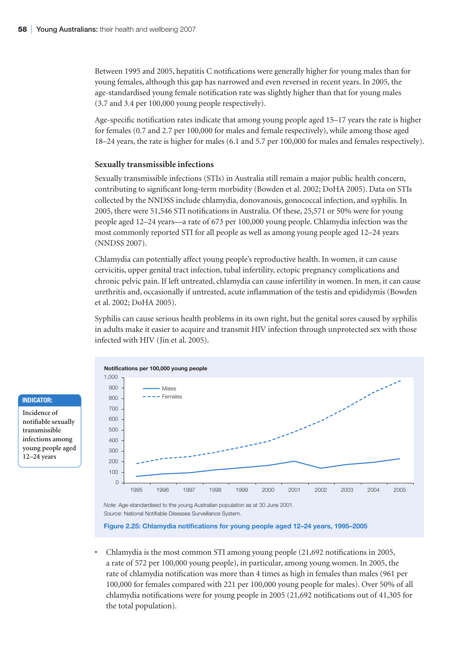Between 1995 and 2005, hepatitis C notifications were generally higher for young males than for young females, although this gap has narrowed and even reversed in recent years. In 2005, the age-standardised young female notification rate was slightly higher than that for young males (3.7 and 3.4 per 100,000 young people respectively).

Age-specific notification rates indicate that among young people aged 15–17 years the rate is higher for females (0.7 and 2.7 per 100,000 for males and female respectively), while among those aged 18–24 years, the rate is higher for males (6.1 and 5.7 per 100,000 for males and females respectively).

#### **Sexually transmissible infections**

Sexually transmissible infections (STIs) in Australia still remain a major public health concern, contributing to significant long-term morbidity (Bowden et al. 2002; DoHA 2005). Data on STIs collected by the NNDSS include chlamydia, donovanosis, gonococcal infection, and syphilis. In 2005, there were 51,546 STI notifications in Australia. Of these, 25,571 or 50% were for young people aged 12–24 years—a rate of 673 per 100,000 young people. Chlamydia infection was the most commonly reported STI for all people as well as among young people aged 12–24 years (NNDSS 2007).

Chlamydia can potentially affect young people's reproductive health. In women, it can cause cervicitis, upper genital tract infection, tubal infertility, ectopic pregnancy complications and chronic pelvic pain. If left untreated, chlamydia can cause infertility in women. In men, it can cause urethritis and, occasionally if untreated, acute inflammation of the testis and epididymis (Bowden et al. 2002; DoHA 2005).

Syphilis can cause serious health problems in its own right, but the genital sores caused by syphilis in adults make it easier to acquire and transmit HIV infection through unprotected sex with those infected with HIV (Jin et al. 2005).



*Source:* National Notifiable Diseases Surveillance System.

#### **Figure 2.25: Chlamydia notifications for young people aged 12–24 years, 1995–2005**

• Chlamydia is the most common STI among young people (21,692 notifications in 2005, a rate of 572 per 100,000 young people), in particular, among young women. In 2005, the rate of chlamydia notification was more than 4 times as high in females than males (961 per 100,000 for females compared with 221 per 100,000 young people for males). Over 50% of all chlamydia notifications were for young people in 2005 (21,692 notifications out of 41,305 for the total population).

#### **Indicator:**

**Incidence of notifiable sexually transmissible infections among young people aged 12–24 years**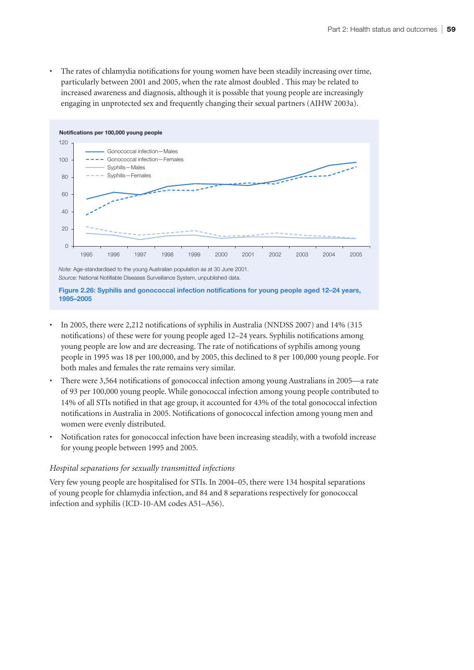• The rates of chlamydia notifications for young women have been steadily increasing over time, particularly between 2001 and 2005, when the rate almost doubled . This may be related to increased awareness and diagnosis, although it is possible that young people are increasingly engaging in unprotected sex and frequently changing their sexual partners (AIHW 2003a).



*Note:* Age-standardised to the young Australian population as at 30 June 2001. *Source:* National Notifiable Diseases Surveillance System, unpublished data.

**Figure 2.26: Syphilis and gonococcal infection notifications for young people aged 12–24 years, 1995–2005**

- In 2005, there were 2,212 notifications of syphilis in Australia (NNDSS 2007) and 14% (315 notifications) of these were for young people aged 12–24 years. Syphilis notifications among young people are low and are decreasing. The rate of notifications of syphilis among young people in 1995 was 18 per 100,000, and by 2005, this declined to 8 per 100,000 young people. For both males and females the rate remains very similar.
- There were 3,564 notifications of gonococcal infection among young Australians in 2005—a rate of 93 per 100,000 young people. While gonococcal infection among young people contributed to 14% of all STIs notified in that age group, it accounted for 43% of the total gonococcal infection notifications in Australia in 2005. Notifications of gonococcal infection among young men and women were evenly distributed.
- Notification rates for gonococcal infection have been increasing steadily, with a twofold increase for young people between 1995 and 2005.

#### *Hospital separations for sexually transmitted infections*

Very few young people are hospitalised for STIs. In 2004–05, there were 134 hospital separations of young people for chlamydia infection, and 84 and 8 separations respectively for gonococcal infection and syphilis (ICD-10-AM codes A51–A56).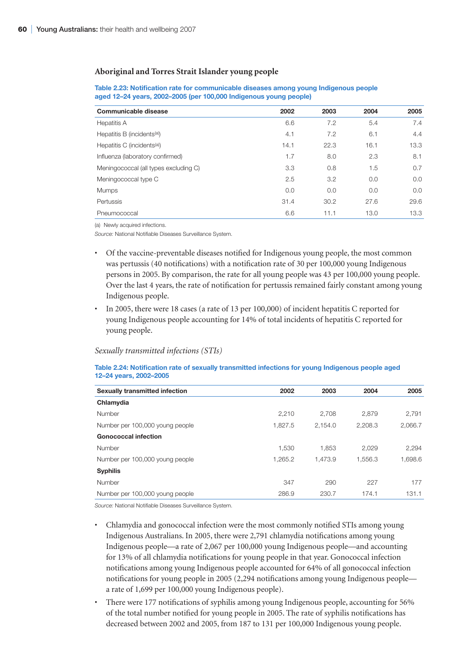#### **Aboriginal and Torres Strait Islander young people**

| Communicable disease                    | 2002 | 2003 | 2004 | 2005 |
|-----------------------------------------|------|------|------|------|
| Hepatitis A                             | 6.6  | 7.2  | 5.4  | 7.4  |
| Hepatitis B (incidents <sup>(a)</sup> ) | 4.1  | 7.2  | 6.1  | 4.4  |
| Hepatitis C (incidents <sup>(a)</sup> ) | 14.1 | 22.3 | 16.1 | 13.3 |
| Influenza (laboratory confirmed)        | 1.7  | 8.0  | 2.3  | 8.1  |
| Meningococcal (all types excluding C)   | 3.3  | 0.8  | 1.5  | 0.7  |
| Meningococcal type C                    | 2.5  | 3.2  | 0.0  | 0.0  |
| <b>Mumps</b>                            | 0.0  | 0.0  | 0.0  | 0.0  |
| Pertussis                               | 31.4 | 30.2 | 27.6 | 29.6 |
| Pneumococcal                            | 6.6  | 11.1 | 13.0 | 13.3 |

#### **Table 2.23: Notification rate for communicable diseases among young Indigenous people aged 12–24 years, 2002–2005 (per 100,000 Indigenous young people)**

(a) Newly acquired infections.

*Source:* National Notifiable Diseases Surveillance System.

- Of the vaccine-preventable diseases notified for Indigenous young people, the most common was pertussis (40 notifications) with a notification rate of 30 per 100,000 young Indigenous persons in 2005. By comparison, the rate for all young people was 43 per 100,000 young people. Over the last 4 years, the rate of notification for pertussis remained fairly constant among young Indigenous people.
- In 2005, there were 18 cases (a rate of 13 per 100,000) of incident hepatitis C reported for young Indigenous people accounting for 14% of total incidents of hepatitis C reported for young people.

#### *Sexually transmitted infections (STIs)*

#### **Table 2.24: Notification rate of sexually transmitted infections for young Indigenous people aged 12–24 years, 2002–2005**

| <b>Sexually transmitted infection</b> | 2002    | 2003    | 2004    | 2005    |
|---------------------------------------|---------|---------|---------|---------|
| Chlamydia                             |         |         |         |         |
| Number                                | 2.210   | 2.708   | 2.879   | 2,791   |
| Number per 100,000 young people       | 1.827.5 | 2.154.0 | 2.208.3 | 2.066.7 |
| <b>Gonococcal infection</b>           |         |         |         |         |
| Number                                | 1.530   | 1.853   | 2.029   | 2,294   |
| Number per 100,000 young people       | 1.265.2 | 1.473.9 | 1.556.3 | 1.698.6 |
| <b>Syphilis</b>                       |         |         |         |         |
| Number                                | 347     | 290     | 227     | 177     |
| Number per 100,000 young people       | 286.9   | 230.7   | 174.1   | 131.1   |

*Source:* National Notifiable Diseases Surveillance System.

- Chlamydia and gonococcal infection were the most commonly notified STIs among young Indigenous Australians. In 2005, there were 2,791 chlamydia notifications among young Indigenous people—a rate of 2,067 per 100,000 young Indigenous people—and accounting for 13% of all chlamydia notifications for young people in that year. Gonococcal infection notifications among young Indigenous people accounted for 64% of all gonococcal infection notifications for young people in 2005 (2,294 notifications among young Indigenous people a rate of 1,699 per 100,000 young Indigenous people).
- There were 177 notifications of syphilis among young Indigenous people, accounting for 56% of the total number notified for young people in 2005. The rate of syphilis notifications has decreased between 2002 and 2005, from 187 to 131 per 100,000 Indigenous young people.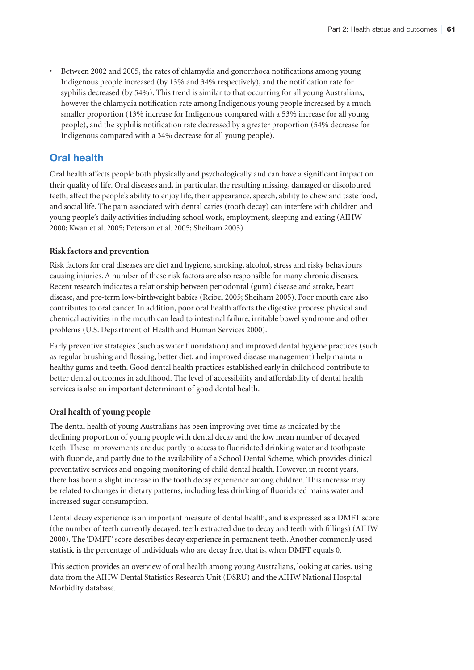• Between 2002 and 2005, the rates of chlamydia and gonorrhoea notifications among young Indigenous people increased (by 13% and 34% respectively), and the notification rate for syphilis decreased (by 54%). This trend is similar to that occurring for all young Australians, however the chlamydia notification rate among Indigenous young people increased by a much smaller proportion (13% increase for Indigenous compared with a 53% increase for all young people), and the syphilis notification rate decreased by a greater proportion (54% decrease for Indigenous compared with a 34% decrease for all young people).

# **Oral health**

Oral health affects people both physically and psychologically and can have a significant impact on their quality of life. Oral diseases and, in particular, the resulting missing, damaged or discoloured teeth, affect the people's ability to enjoy life, their appearance, speech, ability to chew and taste food, and social life. The pain associated with dental caries (tooth decay) can interfere with children and young people's daily activities including school work, employment, sleeping and eating (AIHW 2000; Kwan et al. 2005; Peterson et al. 2005; Sheiham 2005).

# **Risk factors and prevention**

Risk factors for oral diseases are diet and hygiene, smoking, alcohol, stress and risky behaviours causing injuries. A number of these risk factors are also responsible for many chronic diseases. Recent research indicates a relationship between periodontal (gum) disease and stroke, heart disease, and pre-term low-birthweight babies (Reibel 2005; Sheiham 2005). Poor mouth care also contributes to oral cancer. In addition, poor oral health affects the digestive process: physical and chemical activities in the mouth can lead to intestinal failure, irritable bowel syndrome and other problems (U.S. Department of Health and Human Services 2000).

Early preventive strategies (such as water fluoridation) and improved dental hygiene practices (such as regular brushing and flossing, better diet, and improved disease management) help maintain healthy gums and teeth. Good dental health practices established early in childhood contribute to better dental outcomes in adulthood. The level of accessibility and affordability of dental health services is also an important determinant of good dental health.

# **Oral health of young people**

The dental health of young Australians has been improving over time as indicated by the declining proportion of young people with dental decay and the low mean number of decayed teeth. These improvements are due partly to access to fluoridated drinking water and toothpaste with fluoride, and partly due to the availability of a School Dental Scheme, which provides clinical preventative services and ongoing monitoring of child dental health. However, in recent years, there has been a slight increase in the tooth decay experience among children. This increase may be related to changes in dietary patterns, including less drinking of fluoridated mains water and increased sugar consumption.

Dental decay experience is an important measure of dental health, and is expressed as a DMFT score (the number of teeth currently decayed, teeth extracted due to decay and teeth with fillings) (AIHW 2000). The 'DMFT' score describes decay experience in permanent teeth. Another commonly used statistic is the percentage of individuals who are decay free, that is, when DMFT equals 0.

This section provides an overview of oral health among young Australians, looking at caries, using data from the AIHW Dental Statistics Research Unit (DSRU) and the AIHW National Hospital Morbidity database.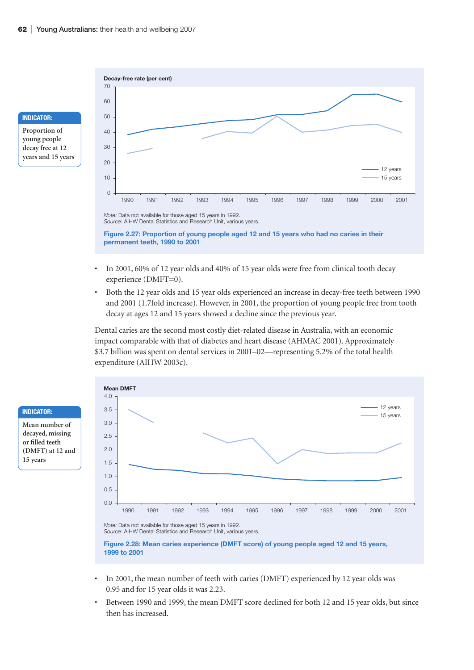

**years and 15 years**



- In 2001, 60% of 12 year olds and 40% of 15 year olds were free from clinical tooth decay experience (DMFT=0).
- Both the 12 year olds and 15 year olds experienced an increase in decay-free teeth between 1990 and 2001 (1.7fold increase). However, in 2001, the proportion of young people free from tooth decay at ages 12 and 15 years showed a decline since the previous year.

Dental caries are the second most costly diet-related disease in Australia, with an economic impact comparable with that of diabetes and heart disease (AHMAC 2001). Approximately \$3.7 billion was spent on dental services in 2001–02—representing 5.2% of the total health expenditure (AIHW 2003c).





*Source:* AIHW Dental Statistics and Research Unit, various years.

**Figure 2.28: Mean caries experience (DMFT score) of young people aged 12 and 15 years, 1999 to 2001**

- In 2001, the mean number of teeth with caries (DMFT) experienced by 12 year olds was 0.95 and for 15 year olds it was 2.23.
- Between 1990 and 1999, the mean DMFT score declined for both 12 and 15 year olds, but since then has increased.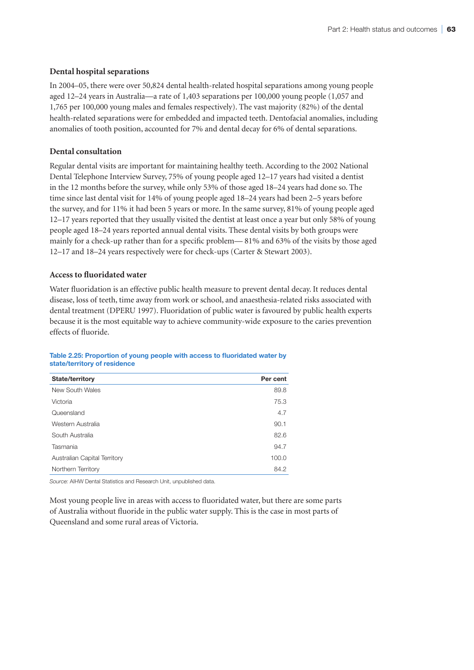#### **Dental hospital separations**

In 2004–05, there were over 50,824 dental health-related hospital separations among young people aged 12–24 years in Australia—a rate of 1,403 separations per 100,000 young people (1,057 and 1,765 per 100,000 young males and females respectively). The vast majority (82%) of the dental health-related separations were for embedded and impacted teeth. Dentofacial anomalies, including anomalies of tooth position, accounted for 7% and dental decay for 6% of dental separations.

#### **Dental consultation**

Regular dental visits are important for maintaining healthy teeth. According to the 2002 National Dental Telephone Interview Survey, 75% of young people aged 12–17 years had visited a dentist in the 12 months before the survey, while only 53% of those aged 18–24 years had done so. The time since last dental visit for 14% of young people aged 18–24 years had been 2–5 years before the survey, and for 11% it had been 5 years or more. In the same survey, 81% of young people aged 12–17 years reported that they usually visited the dentist at least once a year but only 58% of young people aged 18–24 years reported annual dental visits. These dental visits by both groups were mainly for a check-up rather than for a specific problem— 81% and 63% of the visits by those aged 12–17 and 18–24 years respectively were for check-ups (Carter & Stewart 2003).

#### **Access to fluoridated water**

Water fluoridation is an effective public health measure to prevent dental decay. It reduces dental disease, loss of teeth, time away from work or school, and anaesthesia-related risks associated with dental treatment (DPERU 1997). Fluoridation of public water is favoured by public health experts because it is the most equitable way to achieve community-wide exposure to the caries prevention effects of fluoride.

#### **Table 2.25: Proportion of young people with access to fluoridated water by state/territory of residence**

| State/territory              | Per cent |
|------------------------------|----------|
| New South Wales              | 89.8     |
| Victoria                     | 75.3     |
| Queensland                   | 4.7      |
| Western Australia            | 90.1     |
| South Australia              | 82.6     |
| Tasmania                     | 94.7     |
| Australian Capital Territory | 100.0    |
| Northern Territory           | 84.2     |

*Source:* AIHW Dental Statistics and Research Unit, unpublished data.

Most young people live in areas with access to fluoridated water, but there are some parts of Australia without fluoride in the public water supply. This is the case in most parts of Queensland and some rural areas of Victoria.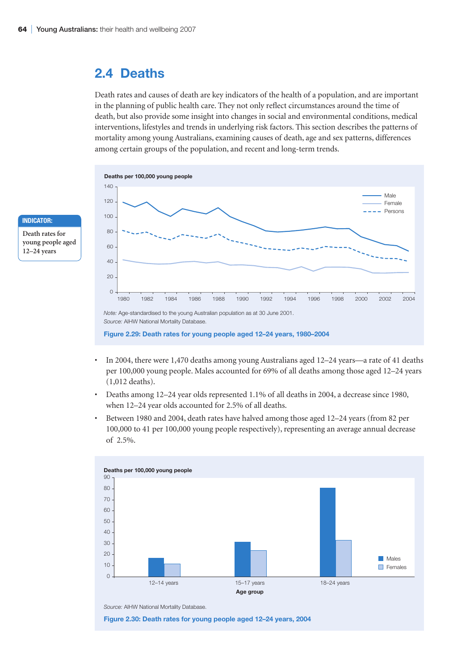# **2.4 Deaths**

Death rates and causes of death are key indicators of the health of a population, and are important in the planning of public health care. They not only reflect circumstances around the time of death, but also provide some insight into changes in social and environmental conditions, medical interventions, lifestyles and trends in underlying risk factors. This section describes the patterns of mortality among young Australians, examining causes of death, age and sex patterns, differences among certain groups of the population, and recent and long-term trends.



- In 2004, there were 1,470 deaths among young Australians aged 12–24 years—a rate of 41 deaths per 100,000 young people. Males accounted for 69% of all deaths among those aged 12–24 years (1,012 deaths).
- Deaths among 12–24 year olds represented 1.1% of all deaths in 2004, a decrease since 1980, when 12–24 year olds accounted for 2.5% of all deaths.
- Between 1980 and 2004, death rates have halved among those aged 12–24 years (from 82 per 100,000 to 41 per 100,000 young people respectively), representing an average annual decrease of 2.5%.



# **Indicator:**

**Death rates for young people aged 12–24 years**

*Source:* AIHW National Mortality Database.

**Figure 2.30: Death rates for young people aged 12–24 years, 2004**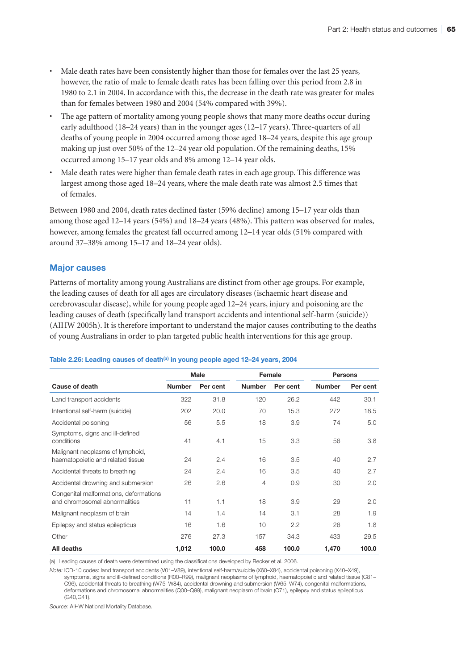- Male death rates have been consistently higher than those for females over the last 25 years, however, the ratio of male to female death rates has been falling over this period from 2.8 in 1980 to 2.1 in 2004. In accordance with this, the decrease in the death rate was greater for males than for females between 1980 and 2004 (54% compared with 39%).
- The age pattern of mortality among young people shows that many more deaths occur during early adulthood (18–24 years) than in the younger ages (12–17 years). Three-quarters of all deaths of young people in 2004 occurred among those aged 18–24 years, despite this age group making up just over 50% of the 12–24 year old population. Of the remaining deaths, 15% occurred among 15–17 year olds and 8% among 12–14 year olds.
- Male death rates were higher than female death rates in each age group. This difference was largest among those aged 18–24 years, where the male death rate was almost 2.5 times that of females.

Between 1980 and 2004, death rates declined faster (59% decline) among 15–17 year olds than among those aged 12–14 years (54%) and 18–24 years (48%). This pattern was observed for males, however, among females the greatest fall occurred among 12–14 year olds (51% compared with around 37–38% among 15–17 and 18–24 year olds).

# **Major causes**

Patterns of mortality among young Australians are distinct from other age groups. For example, the leading causes of death for all ages are circulatory diseases (ischaemic heart disease and cerebrovascular disease), while for young people aged 12–24 years, injury and poisoning are the leading causes of death (specifically land transport accidents and intentional self-harm (suicide)) (AIHW 2005h). It is therefore important to understand the major causes contributing to the deaths of young Australians in order to plan targeted public health interventions for this age group.

#### Table 2.26: Leading causes of death<sup>(a)</sup> in young people aged 12-24 years, 2004

|                                                                         | <b>Male</b>   |          | Female        |          | <b>Persons</b> |          |
|-------------------------------------------------------------------------|---------------|----------|---------------|----------|----------------|----------|
| Cause of death                                                          | <b>Number</b> | Per cent | <b>Number</b> | Per cent | <b>Number</b>  | Per cent |
| Land transport accidents                                                | 322           | 31.8     | 120           | 26.2     | 442            | 30.1     |
| Intentional self-harm (suicide)                                         | 202           | 20.0     | 70            | 15.3     | 272            | 18.5     |
| Accidental poisoning                                                    | 56            | 5.5      | 18            | 3.9      | 74             | 5.0      |
| Symptoms, signs and ill-defined<br>conditions                           | 41            | 4.1      | 15            | 3.3      | 56             | 3.8      |
| Malignant neoplasms of lymphoid,<br>haematopoietic and related tissue   | 24            | 2.4      | 16            | 3.5      | 40             | 2.7      |
| Accidental threats to breathing                                         | 24            | 2.4      | 16            | 3.5      | 40             | 2.7      |
| Accidental drowning and submersion                                      | 26            | 2.6      | 4             | 0.9      | 30             | 2.0      |
| Congenital malformations, deformations<br>and chromosomal abnormalities | 11            | 1.1      | 18            | 3.9      | 29             | 2.0      |
| Malignant neoplasm of brain                                             | 14            | 1.4      | 14            | 3.1      | 28             | 1.9      |
| Epilepsy and status epilepticus                                         | 16            | 1.6      | 10            | 2.2      | 26             | 1.8      |
| Other                                                                   | 276           | 27.3     | 157           | 34.3     | 433            | 29.5     |
| All deaths                                                              | 1,012         | 100.0    | 458           | 100.0    | 1,470          | 100.0    |

(a) Leading causes of death were determined using the classifications developed by Becker et al. 2006.

*Note:* ICD-10 codes: land transport accidents (V01–V89), intentional self-harm/suicide (X60–X84), accidental poisoning (X40–X49), symptoms, signs and ill-defined conditions (R00–R99), malignant neoplasms of lymphoid, haematopoietic and related tissue (C81– C96), accidental threats to breathing (W75–W84), accidental drowning and submersion (W65–W74), congenital malformations, deformations and chromosomal abnormalities (Q00–Q99), malignant neoplasm of brain (C71), epilepsy and status epilepticus (G40,G41).

*Source:* AIHW National Mortality Database.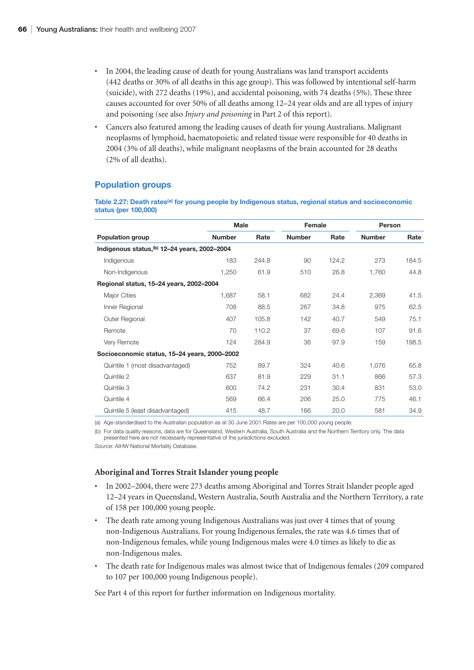- In 2004, the leading cause of death for young Australians was land transport accidents (442 deaths or 30% of all deaths in this age group). This was followed by intentional self-harm (suicide), with 272 deaths (19%), and accidental poisoning, with 74 deaths (5%). These three causes accounted for over 50% of all deaths among 12–24 year olds and are all types of injury and poisoning (see also *Injury and poisoning* in Part 2 of this report).
- Cancers also featured among the leading causes of death for young Australians. Malignant neoplasms of lymphoid, haematopoietic and related tissue were responsible for 40 deaths in 2004 (3% of all deaths), while malignant neoplasms of the brain accounted for 28 deaths (2% of all deaths).

# **Population groups**

Table 2.27: Death rates<sup>(a)</sup> for young people by Indigenous status, regional status and socioeconomic **status (per 100,000)**

|                                               | <b>Male</b>   |       | Female        |       | Person        |       |
|-----------------------------------------------|---------------|-------|---------------|-------|---------------|-------|
| <b>Population group</b>                       | <b>Number</b> | Rate  | <b>Number</b> | Rate  | <b>Number</b> | Rate  |
| Indigenous status, (b) 12-24 years, 2002-2004 |               |       |               |       |               |       |
| Indigenous                                    | 183           | 244.8 | 90            | 124.2 | 273           | 184.5 |
| Non-Indigenous                                | 1,250         | 61.9  | 510           | 26.8  | 1,760         | 44.8  |
| Regional status, 15-24 years, 2002-2004       |               |       |               |       |               |       |
| <b>Major Cities</b>                           | 1,687         | 58.1  | 682           | 24.4  | 2,369         | 41.5  |
| Inner Regional                                | 708           | 88.5  | 267           | 34.8  | 975           | 62.5  |
| Outer Regional                                | 407           | 105.8 | 142           | 40.7  | 549           | 75.1  |
| Remote                                        | 70            | 110.2 | 37            | 69.6  | 107           | 91.6  |
| Very Remote                                   | 124           | 284.9 | 36            | 97.9  | 159           | 198.5 |
| Socioeconomic status, 15-24 years, 2000-2002  |               |       |               |       |               |       |
| Quintile 1 (most disadvantaged)               | 752           | 89.7  | 324           | 40.6  | 1,076         | 65.8  |
| Quintile 2                                    | 637           | 81.9  | 229           | 31.1  | 866           | 57.3  |
| Quintile 3                                    | 600           | 74.2  | 231           | 30.4  | 831           | 53.0  |
| Quintile 4                                    | 569           | 66.4  | 206           | 25.0  | 775           | 46.1  |
| Quintile 5 (least disadvantaged)              | 415           | 48.7  | 166           | 20.0  | 581           | 34.9  |

(a) Age-standardised to the Australian population as at 30 June 2001.Rates are per 100,000 young people.

(b) For data quality reasons, data are for Queensland, Western Australia, South Australia and the Northern Territory only. The data presented here are not necessarily representative of the jurisdictions excluded.

*Source:* AIHW National Mortality Database.

#### **Aboriginal and Torres Strait Islander young people**

- In 2002–2004, there were 273 deaths among Aboriginal and Torres Strait Islander people aged 12–24 years in Queensland, Western Australia, South Australia and the Northern Territory, a rate of 158 per 100,000 young people.
- The death rate among young Indigenous Australians was just over 4 times that of young non-Indigenous Australians. For young Indigenous females, the rate was 4.6 times that of non-Indigenous females, while young Indigenous males were 4.0 times as likely to die as non-Indigenous males.
- The death rate for Indigenous males was almost twice that of Indigenous females (209 compared to 107 per 100,000 young Indigenous people).

See Part 4 of this report for further information on Indigenous mortality.